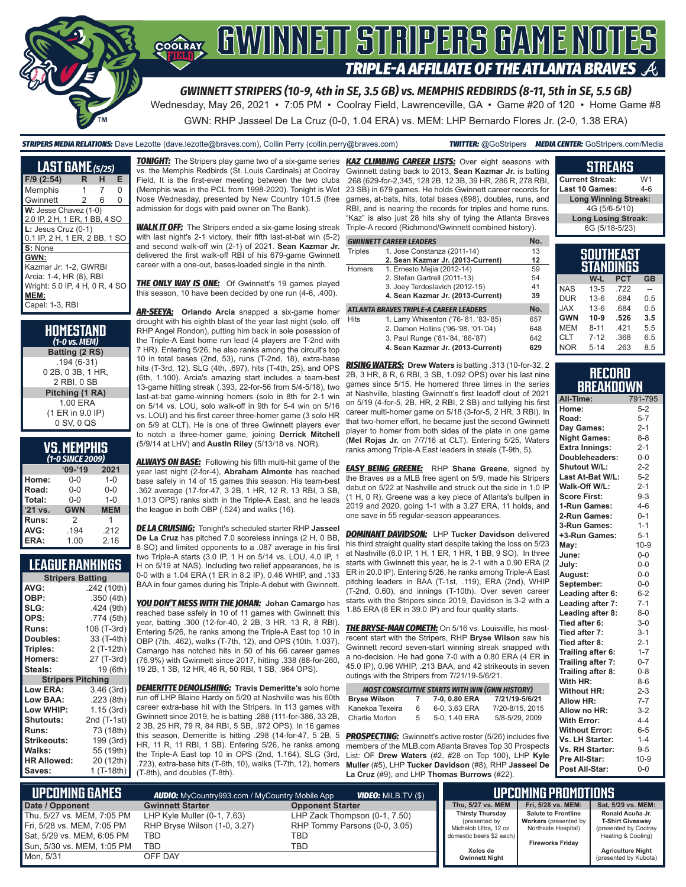

Wednesday, May 26, 2021 • 7:05 PM • Coolray Field, Lawrenceville, GA • Game #20 of 120 • Home Game #8 GWN: RHP Jasseel De La Cruz (0-0, 1.04 ERA) vs. MEM: LHP Bernardo Flores Jr. (2-0, 1.38 ERA)

#### *STRIPERS MEDIA RELATIONS:* Dave Lezotte (dave.lezotte@braves.com), Collin Perry (collin.perry@braves.com) *TWITTER:* @GoStripers *MEDIA CENTER:* GoStripers.com/Media

| <b>LAST GAME (5/25)</b>                                                                                               |   |   |   |
|-----------------------------------------------------------------------------------------------------------------------|---|---|---|
| F/9 (2:54)                                                                                                            | R | н | Е |
| Memphis                                                                                                               |   | 7 | O |
| Gwinnett                                                                                                              | 2 | 6 | 0 |
| W: Jesse Chavez (1-0)<br>2.0 IP, 2 H, 1 ER, 1 BB, 4 SO                                                                |   |   |   |
| $L:$ Jesus Cruz (0-1)<br>0.1 IP, 2 H, 1 ER, 2 BB, 1 SO                                                                |   |   |   |
| S: None                                                                                                               |   |   |   |
| GWN:<br>Kazmar Jr: 1-2, GWRBI<br>Arcia: 1-4, HR (8), RBI<br>Wright: 5.0 IP, 4 H, 0 R, 4 SO<br>MEM:<br>Capel: 1-3, RBI |   |   |   |

| HOMESTAND<br>(1-0 vs. MEM) |
|----------------------------|
| Batting (2 RS)             |
| $.194(6-31)$               |
| 0 2B, 0 3B, 1 HR.          |
| 2 RBI, 0 SB                |
| Pitching (1 RA)            |
| 1.00 ERA                   |
| (1 ER in 9.0 IP)           |
| 0 SV, 0 QS                 |

# **VS. MEMPHIS**

| (1-0 SINCE 2009) |            |            |  |  |
|------------------|------------|------------|--|--|
|                  | $'09-'19$  | 2021       |  |  |
| Home:            | $0 - 0$    | $1 - 0$    |  |  |
| Road:            | $0 - 0$    | $0 - 0$    |  |  |
| Total:           | $0 - 0$    | $1 - 0$    |  |  |
| '21 vs.          | <b>GWN</b> | <b>MEM</b> |  |  |
| Runs:            | 2          | 1          |  |  |
| AVG:             | .194       | .212       |  |  |
| ERA:             | 1.00       | 2.16       |  |  |

### **LEAGUE RANKINGS**

| <b>Stripers Batting</b>  |             |  |
|--------------------------|-------------|--|
| AVG:                     | .242 (10th) |  |
| OBP:                     | .350 (4th)  |  |
| SLG:                     | .424 (9th)  |  |
| OPS:                     | .774 (5th)  |  |
| <b>Runs:</b>             | 106 (T-3rd) |  |
| Doubles:                 | 33 (T-4th)  |  |
| Triples:                 | 2 (T-12th)  |  |
| <b>Homers:</b>           | 27 (T-3rd)  |  |
| Steals:                  | 19 (6th)    |  |
| <b>Stripers Pitching</b> |             |  |
| <b>Low ERA:</b>          | 3.46 (3rd)  |  |
| <b>Low BAA:</b>          | .223 (8th)  |  |
| Low WHIP:                | 1.15 (3rd)  |  |
| <b>Shutouts:</b>         | 2nd (T-1st) |  |
| Runs:                    | 73 (18th)   |  |
| <b>Strikeouts:</b>       | 199 (3rd)   |  |
| Walks:                   | 55 (19th)   |  |
| <b>HR Allowed:</b>       | 20 (12th)   |  |
| Saves:                   | 1 (T-18th)  |  |

vs. the Memphis Redbirds (St. Louis Cardinals) at Coolray Field. It is the first-ever meeting between the two clubs (Memphis was in the PCL from 1998-2020). Tonight is Wet Nose Wednesday, presented by New Country 101.5 (free admission for dogs with paid owner on The Bank).

**WALK IT OFF:** The Stripers ended a six-game losing streak with last night's 2-1 victory, their fifth last-at-bat win (5-2) and second walk-off win (2-1) of 2021. **Sean Kazmar Jr.** delivered the first walk-off RBI of his 679-game Gwinnett career with a one-out, bases-loaded single in the ninth.

**THE ONLY WAY IS ONE:** Of Gwinnett's 19 games played this season, 10 have been decided by one run (4-6, .400).

*AR-SEEYA:* **Orlando Arcia** snapped a six-game homer drought with his eighth blast of the year last night (solo, off RHP Angel Rondon), putting him back in sole posession of the Triple-A East home run lead (4 players are T-2nd with 7 HR). Entering 5/26, he also ranks among the circuit's top 10 in total bases (2nd, 53), runs (T-2nd, 18), extra-base hits (T-3rd, 12), SLG (4th, .697), hits (T-4th, 25), and OPS (6th, 1.100). Arcia's amazing start includes a team-best 13-game hitting streak (.393, 22-for-56 from 5/4-5/18), two last-at-bat game-winning homers (solo in 8th for 2-1 win on 5/14 vs. LOU, solo walk-off in 9th for 5-4 win on 5/16 vs. LOU) and his first career three-homer game (3 solo HR on 5/9 at CLT). He is one of three Gwinnett players ever to notch a three-homer game, joining **Derrick Mitchell** (5/9/14 at LHV) and **Austin Riley** (5/13/18 vs. NOR).

*ALWAYS ON BASE:* Following his fifth multi-hit game of the year last night (2-for-4), **Abraham Almonte** has reached base safely in 14 of 15 games this season. His team-best .362 average (17-for-47, 3 2B, 1 HR, 12 R, 13 RBI, 3 SB, 1.013 OPS) ranks sixth in the Triple-A East, and he leads the league in both OBP (.524) and walks (16).

*DE LA CRUISING:* Tonight's scheduled starter RHP **Jasseel De La Cruz** has pitched 7.0 scoreless innings (2 H, 0 BB, 8 SO) and limited opponents to a .087 average in his first two Triple-A starts (3.0 IP, 1 H on 5/14 vs. LOU, 4.0 IP, 1 H on 5/19 at NAS). Including two relief appearances, he is 0-0 with a 1.04 ERA (1 ER in 8.2 IP), 0.46 WHIP, and .133 BAA in four games during his Triple-A debut with Gwinnett.

*YOU DON'T MESS WITH THE JOHAN:* **Johan Camargo** has reached base safely in 10 of 11 games with Gwinnett this year, batting .300 (12-for-40, 2 2B, 3 HR, 13 R, 8 RBI). Entering 5/26, he ranks among the Triple-A East top 10 in OBP (7th, .462), walks (T-7th, 12), and OPS (10th, 1.037). Camargo has notched hits in 50 of his 66 career games (76.9%) with Gwinnett since 2017, hitting .338 (88-for-260, 19 2B, 1 3B, 12 HR, 46 R, 50 RBI, 1 SB, .964 OPS).

*DEMERITTE DEMOLISHING:* **Travis Demeritte's** solo home run off LHP Blaine Hardy on 5/20 at Nashville was his 60th career extra-base hit with the Stripers. In 113 games with Gwinnett since 2019, he is batting .288 (111-for-386, 33 2B, 2 3B, 25 HR, 79 R, 84 RBI, 5 SB, .972 OPS). In 16 games this season, Demeritte is hitting .298 (14-for-47, 5 2B, 5 HR, 11 R, 11 RBI, 1 SB). Entering 5/26, he ranks among the Triple-A East top 10 in OPS (2nd, 1.164), SLG (3rd, .723), extra-base hits (T-6th, 10), walks (T-7th, 12), homers (T-8th), and doubles (T-8th).

*TONIGHT:* The Stripers play game two of a six-game series *KAZ CLIMBING CAREER LISTS:* Over eight seasons with Gwinnett dating back to 2013, **Sean Kazmar Jr.** is batting .268 (629-for-2,345, 128 2B, 12 3B, 39 HR, 286 R, 278 RBI, 23 SB) in 679 games. He holds Gwinnett career records for games, at-bats, hits, total bases (898), doubles, runs, and RBI, and is nearing the records for triples and home runs. "Kaz" is also just 28 hits shy of tying the Atlanta Braves Triple-A record (Richmond/Gwinnett combined history).

|                | <b>GWINNETT CAREER LEADERS</b>         | No. |
|----------------|----------------------------------------|-----|
| <b>Triples</b> | 1. Jose Constanza (2011-14)            | 13  |
|                | 2. Sean Kazmar Jr. (2013-Current)      | 12  |
| Homers         | 1. Ernesto Mejia (2012-14)             | 59  |
|                | 2. Stefan Gartrell (2011-13)           | 54  |
|                | 3. Joey Terdoslavich (2012-15)         | 41  |
|                | 4. Sean Kazmar Jr. (2013-Current)      | 39  |
|                | ATLANTA BRAVES TRIPLE-A CAREER LEADERS | No. |
| <b>Hits</b>    | 1. Larry Whisenton ('76-'81, '83-'85)  | 657 |
|                | 2. Damon Hollins ('96-'98, '01-'04)    | 648 |
|                | 3. Paul Runge ('81-'84, '86-'87)       | 642 |

*RISING WATERS:* **Drew Waters** is batting .313 (10-for-32, 2 2B, 3 HR, 8 R, 6 RBI, 3 SB, 1.092 OPS) over his last nine games since 5/15. He homered three times in the series at Nashville, blasting Gwinnett's first leadoff clout of 2021 on 5/19 (4-for-5, 2B, HR, 2 RBI, 2 SB) and tallying his first career multi-homer game on 5/18 (3-for-5, 2 HR, 3 RBI). In that two-homer effort, he became just the second Gwinnett player to homer from both sides of the plate in one game (**Mel Rojas Jr.** on 7/7/16 at CLT). Entering 5/25, Waters ranks among Triple-A East leaders in steals (T-9th, 5).

**4. Sean Kazmar Jr. (2013-Current) 629**

*EASY BEING GREENE:* RHP **Shane Greene**, signed by the Braves as a MLB free agent on 5/9, made his Stripers debut on 5/22 at Nashville and struck out the side in 1.0 IP (1 H, 0 R). Greene was a key piece of Atlanta's bullpen in 2019 and 2020, going 1-1 with a 3.27 ERA, 11 holds, and one save in 55 regular-season appearances.

*DOMINANT DAVIDSON:* LHP **Tucker Davidson** delivered his third straight quality start despite taking the loss on 5/23 at Nashville (6.0 IP, 1 H, 1 ER, 1 HR, 1 BB, 9 SO). In three starts with Gwinnett this year, he is 2-1 with a 0.90 ERA (2 ER in 20.0 IP). Entering 5/26, he ranks among Triple-A East pitching leaders in BAA (T-1st, .119), ERA (2nd), WHIP (T-2nd, 0.60), and innings (T-10th). Over seven career starts with the Stripers since 2019, Davidson is 3-2 with a 1.85 ERA (8 ER in 39.0 IP) and four quality starts.

*THE BRYSE-MAN COMETH:* On 5/16 vs. Louisville, his mostrecent start with the Stripers, RHP **Bryse Wilson** saw his Gwinnett record seven-start winning streak snapped with a no-decision. He had gone 7-0 with a 0.80 ERA (4 ER in 45.0 IP), 0.96 WHIP, .213 BAA, and 42 strikeouts in seven outings with the Stripers from 7/21/19-5/6/21.

|                     |   | <b>MOST CONSECUTIVE STARTS WITH WIN (GWN HISTORY)</b> |                 |
|---------------------|---|-------------------------------------------------------|-----------------|
| <b>Bryse Wilson</b> | 7 | 7-0, 0.80 ERA                                         | 7/21/19-5/6/21  |
| Kanekoa Texeira     | 6 | 6-0, 3.63 ERA                                         | 7/20-8/15, 2015 |
| Charlie Morton      | 5 | 5-0, 1.40 ERA                                         | 5/8-5/29, 2009  |

**PROSPECTING:** Gwinnett's active roster (5/26) includes five members of the MLB.com Atlanta Braves Top 30 Prospects List: OF **Drew Waters** (#2, #28 on Top 100), LHP **Kyle Muller** (#5), LHP **Tucker Davidson** (#8), RHP **Jasseel De La Cruz** (#9), and LHP **Thomas Burrows** (#22).

| <b>Current Streak:</b>      | W1  |  |
|-----------------------------|-----|--|
| Last 10 Games:              | 4-6 |  |
| <b>Long Winning Streak:</b> |     |  |
| 4G (5/6-5/10)               |     |  |
| <b>Long Losing Streak:</b>  |     |  |
| 6G (5/18-5/23)              |     |  |
|                             |     |  |
| SOUTHEAST                   |     |  |

**STREAKS**

|            | STANI    | ---<br><b>INGS</b> |           |
|------------|----------|--------------------|-----------|
|            | W-L      | <b>PCT</b>         | <b>GB</b> |
| <b>NAS</b> | $13 - 5$ | .722               |           |
| <b>DUR</b> | $13 - 6$ | .684               | 0.5       |
| <b>JAX</b> | $13-6$   | .684               | 0.5       |
| <b>GWN</b> | $10-9$   | .526               | 3.5       |
| <b>MEM</b> | $8 - 11$ | .421               | 5.5       |
| <b>CLT</b> | $7 - 12$ | .368               | 6.5       |
| <b>NOR</b> | $5 - 14$ | .263               | 8.5       |

| <b>RECORD</b>    |  |
|------------------|--|
| <b>BREAKDOWN</b> |  |

| All-Time:             | 791-795 |
|-----------------------|---------|
| Home:                 | $5-2$   |
| Road:                 | $5 - 7$ |
| Day Games:            | $2 - 1$ |
| <b>Night Games:</b>   | $8 - 8$ |
| <b>Extra Innings:</b> | $2 - 1$ |
| Doubleheaders:        | $0 - 0$ |
| <b>Shutout W/L:</b>   | $2 - 2$ |
| Last At-Bat W/L:      | $5 - 2$ |
| Walk-Off W/L:         | $2 - 1$ |
| <b>Score First:</b>   | $9 - 3$ |
| 1-Run Games:          | $4 - 6$ |
| 2-Run Games:          | $0 - 1$ |
| 3-Run Games:          | $1 - 1$ |
| +3-Run Games:         | $5 - 1$ |
| May:                  | $10-9$  |
| June:                 | $0-0$   |
| July:                 | $0 - 0$ |
| August:               | $0-0$   |
| September:            | $0-0$   |
| Leading after 6:      | $6 - 2$ |
| Leading after 7:      | $7 - 1$ |
| Leading after 8:      | $8 - 0$ |
| Tied after 6:         | $3 - 0$ |
| Tied after 7:         | $3 - 1$ |
| Tied after 8:         | $2 - 1$ |
| Trailing after 6:     | $1 - 7$ |
| Trailing after 7:     | $0 - 7$ |
| Trailing after 8:     | $0 - 8$ |
| With HR:              | $8-6$   |
| <b>Without HR:</b>    | $2 - 3$ |
| Allow HR:             | $7 - 7$ |
| Allow no HR:          | $3-2$   |
| <b>With Error:</b>    | $4 - 4$ |
| <b>Without Error:</b> | $6 - 5$ |
| Vs. LH Starter:       | $1 - 4$ |
| Vs. RH Starter:       | $9 - 5$ |
| Pre All-Star:         | $10-9$  |
| Post All-Star:        | $0 - 0$ |

| Lupcoming Games I                                                                      | <b>AUDIO:</b> MyCountry993.com / MyCountry Mobile App                 | <b>VIDEO:</b> Milb.TV (\$)                                            |                                                                                                | <b>LIPCOMING PROMOTIONS</b>                                                       |                                                                                            |
|----------------------------------------------------------------------------------------|-----------------------------------------------------------------------|-----------------------------------------------------------------------|------------------------------------------------------------------------------------------------|-----------------------------------------------------------------------------------|--------------------------------------------------------------------------------------------|
| Date / Opponent                                                                        | <b>Gwinnett Starter</b>                                               | <b>Opponent Starter</b>                                               | Thu, 5/27 vs. MEM                                                                              | Fri. 5/28 vs. MEM:                                                                | Sat. 5/29 vs. MEM:                                                                         |
| Thu, 5/27 vs. MEM, 7:05 PM<br>Fri, 5/28 vs. MEM, 7:05 PM<br>Sat, 5/29 vs. MEM, 6:05 PM | LHP Kyle Muller $(0-1, 7.63)$<br>RHP Bryse Wilson (1-0, 3.27)<br>TBD. | LHP Zack Thompson (0-1, 7.50)<br>RHP Tommy Parsons (0-0, 3.05)<br>TBD | <b>Thirsty Thursday</b><br>(presented by<br>Michelob Ultra, 12 oz.<br>domestic beers \$2 each) | <b>Salute to Frontline</b><br><b>Workers</b> (presented by<br>Northside Hospital) | Ronald Acuña Jr.<br><b>T-Shirt Giveaway</b><br>(presented by Coolray<br>Heating & Cooling) |
| Sun, 5/30 vs. MEM, 1:05 PM                                                             | <b>TBD</b>                                                            | TBD                                                                   | Xolos de                                                                                       | <b>Fireworks Friday</b>                                                           | <b>Agriculture Night</b>                                                                   |
| Mon. 5/31                                                                              | OFF DAY                                                               |                                                                       | <b>Gwinnett Night</b>                                                                          |                                                                                   | (presented by Kubota)                                                                      |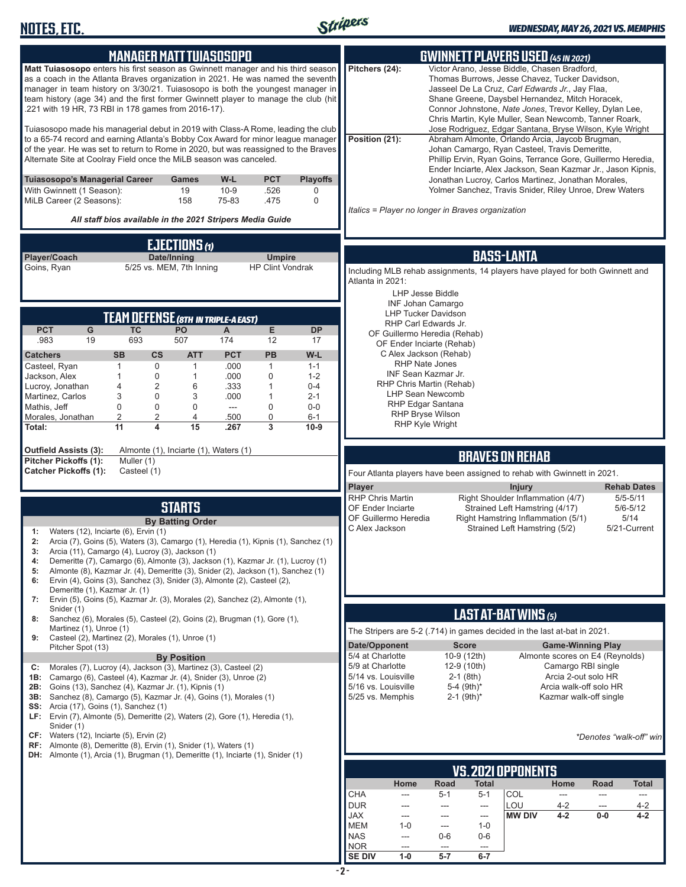

| <b>MANAGER MATT TUIASOSOPO</b>                                                                                                                                                                                                                                                                                                                                                                     | <b>GWINNETT PLAYERS USED (45 IN 2021)</b>                                                                                                                                                                                                                                                                                                   |
|----------------------------------------------------------------------------------------------------------------------------------------------------------------------------------------------------------------------------------------------------------------------------------------------------------------------------------------------------------------------------------------------------|---------------------------------------------------------------------------------------------------------------------------------------------------------------------------------------------------------------------------------------------------------------------------------------------------------------------------------------------|
| Matt Tuiasosopo enters his first season as Gwinnett manager and his third season<br>as a coach in the Atlanta Braves organization in 2021. He was named the seventh<br>manager in team history on 3/30/21. Tuiasosopo is both the youngest manager in<br>team history (age 34) and the first former Gwinnett player to manage the club (hit<br>.221 with 19 HR, 73 RBI in 178 games from 2016-17). | Pitchers (24):<br>Victor Arano, Jesse Biddle, Chasen Bradford,<br>Thomas Burrows, Jesse Chavez, Tucker Davidson,<br>Jasseel De La Cruz, Carl Edwards Jr., Jay Flaa,<br>Shane Greene, Daysbel Hernandez, Mitch Horacek,<br>Connor Johnstone, Nate Jones, Trevor Kelley, Dylan Lee,<br>Chris Martin, Kyle Muller, Sean Newcomb, Tanner Roark, |
| Tuiasosopo made his managerial debut in 2019 with Class-A Rome, leading the club<br>to a 65-74 record and earning Atlanta's Bobby Cox Award for minor league manager<br>of the year. He was set to return to Rome in 2020, but was reassigned to the Braves<br>Alternate Site at Coolray Field once the MiLB season was canceled.                                                                  | Jose Rodriguez, Edgar Santana, Bryse Wilson, Kyle Wright<br>Position (21):<br>Abraham Almonte, Orlando Arcia, Jaycob Brugman,<br>Johan Camargo, Ryan Casteel, Travis Demeritte,<br>Phillip Ervin, Ryan Goins, Terrance Gore, Guillermo Heredia,<br>Ender Inciarte, Alex Jackson, Sean Kazmar Jr., Jason Kipnis,                             |
| W-L<br><b>PCT</b><br><b>Playoffs</b><br>Tuiasosopo's Managerial Career<br>Games<br>With Gwinnett (1 Season):<br>$10 - 9$<br>19<br>.526<br>0<br>MiLB Career (2 Seasons):<br>158<br>75-83<br>$\mathbf 0$<br>.475                                                                                                                                                                                     | Jonathan Lucroy, Carlos Martinez, Jonathan Morales,<br>Yolmer Sanchez, Travis Snider, Riley Unroe, Drew Waters                                                                                                                                                                                                                              |
| All staff bios available in the 2021 Stripers Media Guide                                                                                                                                                                                                                                                                                                                                          | Italics = Player no longer in Braves organization                                                                                                                                                                                                                                                                                           |
| <b>EJECTIONS (1)</b>                                                                                                                                                                                                                                                                                                                                                                               |                                                                                                                                                                                                                                                                                                                                             |
| Player/Coach<br>Date/Inning<br><b>Umpire</b><br>5/25 vs. MEM, 7th Inning<br><b>HP Clint Vondrak</b><br>Goins, Ryan                                                                                                                                                                                                                                                                                 | <b>BASS-LANTA</b><br>Including MLB rehab assignments, 14 players have played for both Gwinnett and<br>Atlanta in 2021:<br><b>LHP Jesse Biddle</b>                                                                                                                                                                                           |
|                                                                                                                                                                                                                                                                                                                                                                                                    | <b>INF Johan Camargo</b><br><b>LHP Tucker Davidson</b>                                                                                                                                                                                                                                                                                      |
| TEAM DEFENSE (8TH IN TRIPLE-A EAST)<br><b>PCT</b><br>G<br><b>TC</b><br>Е<br><b>PO</b><br><b>DP</b><br>A                                                                                                                                                                                                                                                                                            | RHP Carl Edwards Jr.<br>OF Guillermo Heredia (Rehab)                                                                                                                                                                                                                                                                                        |
| 693<br>.983<br>507<br>174<br>12<br>19<br>17                                                                                                                                                                                                                                                                                                                                                        | OF Ender Inciarte (Rehab)                                                                                                                                                                                                                                                                                                                   |
| <b>PCT</b><br>PB<br>W-L<br><b>Catchers</b><br><b>SB</b><br>$\mathsf{cs}$<br><b>ATT</b><br>$\mathbf 0$<br>.000<br>Casteel, Ryan<br>$\mathbf{1}$<br>$\mathbf{1}$<br>$1 - 1$<br>1                                                                                                                                                                                                                     | C Alex Jackson (Rehab)<br><b>RHP Nate Jones</b>                                                                                                                                                                                                                                                                                             |
| $\mathbf 0$<br>.000<br>$\mathbf 0$<br>$1 - 2$<br>Jackson, Alex<br>$\mathbf{1}$<br>1                                                                                                                                                                                                                                                                                                                | INF Sean Kazmar Jr.                                                                                                                                                                                                                                                                                                                         |
| $\overline{2}$<br>6<br>.333<br>Lucroy, Jonathan<br>4<br>$\mathbf{1}$<br>$0 - 4$<br>3<br>0<br>3<br>.000<br>Martinez, Carlos<br>1<br>$2 - 1$                                                                                                                                                                                                                                                         | RHP Chris Martin (Rehab)<br><b>LHP Sean Newcomb</b>                                                                                                                                                                                                                                                                                         |
| 0<br>$\mathbf 0$<br>0<br>$\mathbf 0$<br>Mathis, Jeff<br>$\frac{1}{2}$<br>0-0                                                                                                                                                                                                                                                                                                                       | RHP Edgar Santana<br><b>RHP Bryse Wilson</b>                                                                                                                                                                                                                                                                                                |
| $\overline{2}$<br>$\overline{2}$<br>4<br>$\mathbf 0$<br>Morales, Jonathan<br>.500<br>$6 - 1$<br>11<br>4<br>15<br>3<br>Total:<br>.267<br>$10-9$                                                                                                                                                                                                                                                     | <b>RHP Kyle Wright</b>                                                                                                                                                                                                                                                                                                                      |
|                                                                                                                                                                                                                                                                                                                                                                                                    |                                                                                                                                                                                                                                                                                                                                             |
| <b>Outfield Assists (3):</b><br>Almonte (1), Inciarte (1), Waters (1)<br>Pitcher Pickoffs (1):<br>Muller (1)                                                                                                                                                                                                                                                                                       | <b>BRAVES ON REHAB</b>                                                                                                                                                                                                                                                                                                                      |
| <b>Catcher Pickoffs (1):</b><br>Casteel (1)                                                                                                                                                                                                                                                                                                                                                        | Four Atlanta players have been assigned to rehab with Gwinnett in 2021.                                                                                                                                                                                                                                                                     |
|                                                                                                                                                                                                                                                                                                                                                                                                    | Player<br><b>Injury</b><br><b>Rehab Dates</b>                                                                                                                                                                                                                                                                                               |
| <b>STARTS</b>                                                                                                                                                                                                                                                                                                                                                                                      | <b>RHP Chris Martin</b><br>Right Shoulder Inflammation (4/7)<br>$5/5 - 5/11$<br><b>OF Ender Inciarte</b><br>Strained Left Hamstring (4/17)<br>$5/6 - 5/12$                                                                                                                                                                                  |
| <b>By Batting Order</b>                                                                                                                                                                                                                                                                                                                                                                            | 5/14<br>OF Guillermo Heredia<br>Right Hamstring Inflammation (5/1)                                                                                                                                                                                                                                                                          |
| Waters (12), Inciarte (6), Ervin (1)<br>1:<br>Arcia (7), Goins (5), Waters (3), Camargo (1), Heredia (1), Kipnis (1), Sanchez (1)<br>2:                                                                                                                                                                                                                                                            | Strained Left Hamstring (5/2)<br>C Alex Jackson<br>5/21-Current                                                                                                                                                                                                                                                                             |
| Arcia (11), Camargo (4), Lucroy (3), Jackson (1)<br>3:                                                                                                                                                                                                                                                                                                                                             |                                                                                                                                                                                                                                                                                                                                             |
| Demeritte (7), Camargo (6), Almonte (3), Jackson (1), Kazmar Jr. (1), Lucroy (1)<br>4:<br>Almonte (8), Kazmar Jr. (4), Demeritte (3), Snider (2), Jackson (1), Sanchez (1)<br>5:                                                                                                                                                                                                                   |                                                                                                                                                                                                                                                                                                                                             |
| Ervin (4), Goins (3), Sanchez (3), Snider (3), Almonte (2), Casteel (2),<br>6:<br>Demeritte (1), Kazmar Jr. (1)                                                                                                                                                                                                                                                                                    |                                                                                                                                                                                                                                                                                                                                             |
| Ervin (5), Goins (5), Kazmar Jr. (3), Morales (2), Sanchez (2), Almonte (1),<br>7:                                                                                                                                                                                                                                                                                                                 |                                                                                                                                                                                                                                                                                                                                             |
| Snider (1)<br>Sanchez (6), Morales (5), Casteel (2), Goins (2), Brugman (1), Gore (1),<br>8:                                                                                                                                                                                                                                                                                                       | LAST AT-BAT WINS (5)                                                                                                                                                                                                                                                                                                                        |
| Martinez (1), Unroe (1)<br>Casteel (2), Martinez (2), Morales (1), Unroe (1)<br>9:                                                                                                                                                                                                                                                                                                                 | The Stripers are 5-2 (.714) in games decided in the last at-bat in 2021.                                                                                                                                                                                                                                                                    |
| Pitcher Spot (13)                                                                                                                                                                                                                                                                                                                                                                                  | Date/Opponent<br><b>Score</b><br><b>Game-Winning Play</b>                                                                                                                                                                                                                                                                                   |
| <b>By Position</b><br>Morales (7), Lucroy (4), Jackson (3), Martinez (3), Casteel (2)<br>C:                                                                                                                                                                                                                                                                                                        | 5/4 at Charlotte<br>10-9 (12th)<br>Almonte scores on E4 (Reynolds)<br>5/9 at Charlotte<br>12-9 (10th)<br>Camargo RBI single                                                                                                                                                                                                                 |
| Camargo (6), Casteel (4), Kazmar Jr. (4), Snider (3), Unroe (2)<br>1B:<br><b>2B:</b> Goins (13), Sanchez (4), Kazmar Jr. (1), Kipnis (1)                                                                                                                                                                                                                                                           | Arcia 2-out solo HR<br>5/14 vs. Louisville<br>$2-1$ (8th)<br>5/16 vs. Louisville<br>$5-4$ (9th)*<br>Arcia walk-off solo HR                                                                                                                                                                                                                  |
| 3B: Sanchez (8), Camargo (5), Kazmar Jr. (4), Goins (1), Morales (1)                                                                                                                                                                                                                                                                                                                               | 5/25 vs. Memphis<br>$2-1$ (9th) <sup>*</sup><br>Kazmar walk-off single                                                                                                                                                                                                                                                                      |
| <b>SS:</b> Arcia (17), Goins (1), Sanchez (1)<br>LF: Ervin (7), Almonte (5), Demeritte (2), Waters (2), Gore (1), Heredia (1),                                                                                                                                                                                                                                                                     |                                                                                                                                                                                                                                                                                                                                             |
| Snider (1)<br>$CF:$ Waters (12), Inciarte (5), Ervin (2)                                                                                                                                                                                                                                                                                                                                           |                                                                                                                                                                                                                                                                                                                                             |
| $RF:$ Almonte (8), Demeritte (8), Ervin (1), Snider (1), Waters (1)                                                                                                                                                                                                                                                                                                                                | *Denotes "walk-off" win                                                                                                                                                                                                                                                                                                                     |
| <b>DH:</b> Almonte (1), Arcia (1), Brugman (1), Demeritte (1), Inciarte (1), Snider (1)                                                                                                                                                                                                                                                                                                            |                                                                                                                                                                                                                                                                                                                                             |
|                                                                                                                                                                                                                                                                                                                                                                                                    | <b>VS. 2021 OPPONENTS</b><br>Home<br>Road<br><b>Total</b><br>Home<br>Road<br>Total                                                                                                                                                                                                                                                          |
|                                                                                                                                                                                                                                                                                                                                                                                                    | <b>CHA</b><br>$5 - 1$<br>$5-1$<br>COL<br>---<br>---<br>---<br>$---$                                                                                                                                                                                                                                                                         |
|                                                                                                                                                                                                                                                                                                                                                                                                    | <b>DUR</b><br>LOU<br>$4 - 2$<br>4-2<br>$\qquad \qquad \cdots$<br>---<br>$\qquad \qquad \cdots$<br>$\hspace{0.05cm} \ldots$                                                                                                                                                                                                                  |
|                                                                                                                                                                                                                                                                                                                                                                                                    | <b>JAX</b><br><b>MW DIV</b><br>$4 - 2$<br>$0-0$<br>$4 - 2$<br>---<br>$\qquad \qquad \cdots$<br>---<br><b>MEM</b><br>$1 - 0$<br>$1 - 0$<br>$\qquad \qquad \cdots$                                                                                                                                                                            |
|                                                                                                                                                                                                                                                                                                                                                                                                    | <b>NAS</b><br>$0-6$<br>$0-6$<br>---                                                                                                                                                                                                                                                                                                         |

NOR --- --- --- ---**SE DIV 1-0 5-7 6-7**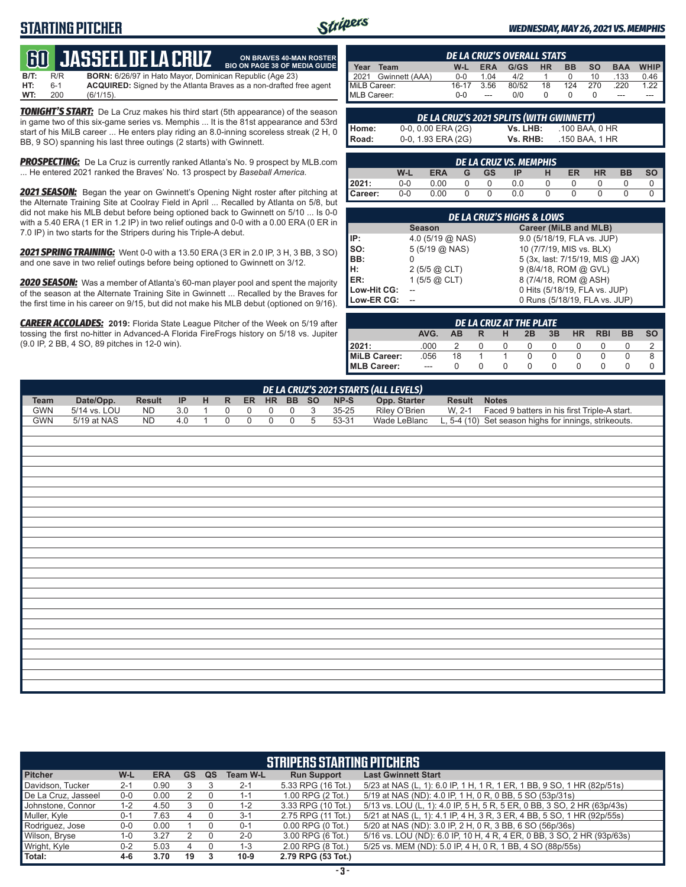# **STARTING PITCHER**



**ON BRAVES 40-MAN ROSTER**

#### *WEDNESDAY, MAY 26, 2021 VS. MEMPHIS*

# **60****JASSEEL DE LA CRUZ**

**B/T:** R/R **BORN:** 6/26/97 in Hato Mayor, Dominican Republic (Age 23)<br>**HT:** 6-1 **ACQUIRED:** Signed by the Atlanta Braves as a non-drafted f **HT:** 6-1 **ACQUIRED:** Signed by the Atlanta Braves as a non-drafted free agent **WT:** 200 (6/1/15). **BIO ON PAGE 38 OF MEDIA GUIDE**

*TONIGHT'S START:* De La Cruz makes his third start (5th appearance) of the season in game two of this six-game series vs. Memphis ... It is the 81st appearance and 53rd start of his MiLB career ... He enters play riding an 8.0-inning scoreless streak (2 H, 0 BB, 9 SO) spanning his last three outings (2 starts) with Gwinnett.

**PROSPECTING:** De La Cruz is currently ranked Atlanta's No. 9 prospect by MLB.com ... He entered 2021 ranked the Braves' No. 13 prospect by *Baseball America*.

*2021 SEASON:* Began the year on Gwinnett's Opening Night roster after pitching at the Alternate Training Site at Coolray Field in April ... Recalled by Atlanta on 5/8, but did not make his MLB debut before being optioned back to Gwinnett on 5/10 ... Is 0-0 with a 5.40 ERA (1 ER in 1.2 IP) in two relief outings and 0-0 with a 0.00 ERA (0 ER in 7.0 IP) in two starts for the Stripers during his Triple-A debut.

*2021 SPRING TRAINING:* Went 0-0 with a 13.50 ERA (3 ER in 2.0 IP, 3 H, 3 BB, 3 SO) and one save in two relief outings before being optioned to Gwinnett on 3/12.

*2020 SEASON:* Was a member of Atlanta's 60-man player pool and spent the majority of the season at the Alternate Training Site in Gwinnett ... Recalled by the Braves for the first time in his career on 9/15, but did not make his MLB debut (optioned on 9/16).

*CAREER ACCOLADES:* **2019:** Florida State League Pitcher of the Week on 5/19 after tossing the first no-hitter in Advanced-A Florida FireFrogs history on 5/18 vs. Jupiter (9.0 IP, 2 BB, 4 SO, 89 pitches in 12-0 win).

| <b>DE LA CRUZ'S OVERALL STATS</b> |                     |         |            |       |           |           |           |            |      |  |  |  |
|-----------------------------------|---------------------|---------|------------|-------|-----------|-----------|-----------|------------|------|--|--|--|
| Year                              | Team                | W-L     | <b>ERA</b> | G/GS  | <b>HR</b> | <b>BB</b> | <b>SO</b> | <b>BAA</b> | WHIP |  |  |  |
|                                   | 2021 Gwinnett (AAA) | $0 - 0$ | 1.04       | 4/2   |           |           | 10        | .133       | 0.46 |  |  |  |
| MiLB Career:                      |                     | $16-17$ | 3.56       | 80/52 | 18        | 124       | 270       | 220        | 1.22 |  |  |  |
| MLB Career:                       |                     | $0 - 0$ | $---$      | 0/0   |           |           |           | ---        |      |  |  |  |

|       | DE LA CRUZ'S 2021 SPLITS (WITH GWINNETT) |          |                |  |  |  |  |  |  |  |  |  |  |
|-------|------------------------------------------|----------|----------------|--|--|--|--|--|--|--|--|--|--|
| Home: | $0-0, 0.00$ ERA (2G)                     | Vs. LHB: | .100 BAA. 0 HR |  |  |  |  |  |  |  |  |  |  |
| Road: | 0-0, 1.93 ERA (2G)                       | Vs. RHB: | .150 BAA. 1 HR |  |  |  |  |  |  |  |  |  |  |

|         | <b>DE LA CRUZ VS. MEMPHIS</b> |            |   |           |     |   |    |           |           |           |  |  |  |
|---------|-------------------------------|------------|---|-----------|-----|---|----|-----------|-----------|-----------|--|--|--|
|         | W-L                           | <b>ERA</b> | G | <b>GS</b> | ΙP  | н | ER | <b>HR</b> | <b>BB</b> | <b>SO</b> |  |  |  |
| 2021:   | $0 - 0$                       | 0.00       |   |           | 0.0 |   |    |           |           |           |  |  |  |
| Career: | $0 - 0$                       | 0.00       |   | O         | 0.0 |   |    |           |           |           |  |  |  |

| <b>DE LA CRUZ'S HIGHS &amp; LOWS</b>   |                           |                                  |  |  |  |  |  |  |  |  |  |
|----------------------------------------|---------------------------|----------------------------------|--|--|--|--|--|--|--|--|--|
| Career (MiLB and MLB)<br><b>Season</b> |                           |                                  |  |  |  |  |  |  |  |  |  |
| IP:                                    | 4.0 $(5/19)$ ( $(0)$ NAS) | 9.0 (5/18/19, FLA vs. JUP)       |  |  |  |  |  |  |  |  |  |
| Iso:                                   | $5(5/19)$ ( $\odot$ NAS)  | 10 (7/7/19, MIS vs. BLX)         |  |  |  |  |  |  |  |  |  |
| BB:                                    |                           | 5 (3x, last: 7/15/19, MIS @ JAX) |  |  |  |  |  |  |  |  |  |
| H:                                     | $2(5/5)$ $\omega$ CLT)    | 9 (8/4/18, ROM @ GVL)            |  |  |  |  |  |  |  |  |  |
| ER:                                    | 1 $(5/5)$ @ CLT)          | 8 (7/4/18, ROM @ ASH)            |  |  |  |  |  |  |  |  |  |
| Low-Hit CG:                            |                           | 0 Hits (5/18/19, FLA vs. JUP)    |  |  |  |  |  |  |  |  |  |
| Low-ER CG:                             |                           | 0 Runs (5/18/19, FLA vs. JUP)    |  |  |  |  |  |  |  |  |  |

| DE LA CRUZ AT THE PLATE |      |     |   |          |                  |    |           |            |           |           |  |  |
|-------------------------|------|-----|---|----------|------------------|----|-----------|------------|-----------|-----------|--|--|
|                         | AVG. | ΔR. | R | н        | 2B               | 3B | <b>HR</b> | <b>RBI</b> | <b>BB</b> | <b>SO</b> |  |  |
| 2021:                   | .000 |     |   | $\Omega$ | $\left( \right)$ |    |           |            |           |           |  |  |
| MiLB Career:            | .056 | 18  |   |          |                  |    |           |            |           |           |  |  |
| MLB Career:             | $-$  |     |   |          |                  |    |           |            |           |           |  |  |

|             | DE LA CRUZ'S 2021 STARTS (ALL LEVELS) |               |     |              |              |             |                |             |                |         |                               |               |                                                       |
|-------------|---------------------------------------|---------------|-----|--------------|--------------|-------------|----------------|-------------|----------------|---------|-------------------------------|---------------|-------------------------------------------------------|
| <b>Team</b> | Date/Opp.                             | <b>Result</b> | IP  | H            | $\mathsf{R}$ |             |                | ER HR BB SO |                | $NP-S$  | Opp. Starter                  | <b>Result</b> | <b>Notes</b>                                          |
| <b>GWN</b>  | 5/14 vs. LOU                          | <b>ND</b>     | 3.0 | $\mathbf{1}$ | 0            | 0           | $\mathbf 0$    | $\pmb{0}$   | 3              | 35-25   | Riley O'Brien<br>Wade LeBlanc | W, 2-1        | Faced 9 batters in his first Triple-A start.          |
| <b>GWN</b>  | $5/19$ at NAS                         | ND            | 4.0 | $\mathbf{1}$ | $\mathbf 0$  | $\mathbf 0$ | $\overline{0}$ | $\mathbf 0$ | $\overline{5}$ | $53-31$ |                               |               | L, 5-4 (10) Set season highs for innings, strikeouts. |
|             |                                       |               |     |              |              |             |                |             |                |         |                               |               |                                                       |
|             |                                       |               |     |              |              |             |                |             |                |         |                               |               |                                                       |
|             |                                       |               |     |              |              |             |                |             |                |         |                               |               |                                                       |
|             |                                       |               |     |              |              |             |                |             |                |         |                               |               |                                                       |
|             |                                       |               |     |              |              |             |                |             |                |         |                               |               |                                                       |
|             |                                       |               |     |              |              |             |                |             |                |         |                               |               |                                                       |
|             |                                       |               |     |              |              |             |                |             |                |         |                               |               |                                                       |
|             |                                       |               |     |              |              |             |                |             |                |         |                               |               |                                                       |
|             |                                       |               |     |              |              |             |                |             |                |         |                               |               |                                                       |
|             |                                       |               |     |              |              |             |                |             |                |         |                               |               |                                                       |
|             |                                       |               |     |              |              |             |                |             |                |         |                               |               |                                                       |
|             |                                       |               |     |              |              |             |                |             |                |         |                               |               |                                                       |
|             |                                       |               |     |              |              |             |                |             |                |         |                               |               |                                                       |
|             |                                       |               |     |              |              |             |                |             |                |         |                               |               |                                                       |
|             |                                       |               |     |              |              |             |                |             |                |         |                               |               |                                                       |
|             |                                       |               |     |              |              |             |                |             |                |         |                               |               |                                                       |
|             |                                       |               |     |              |              |             |                |             |                |         |                               |               |                                                       |
|             |                                       |               |     |              |              |             |                |             |                |         |                               |               |                                                       |
|             |                                       |               |     |              |              |             |                |             |                |         |                               |               |                                                       |
|             |                                       |               |     |              |              |             |                |             |                |         |                               |               |                                                       |
|             |                                       |               |     |              |              |             |                |             |                |         |                               |               |                                                       |
|             |                                       |               |     |              |              |             |                |             |                |         |                               |               |                                                       |
|             |                                       |               |     |              |              |             |                |             |                |         |                               |               |                                                       |
|             |                                       |               |     |              |              |             |                |             |                |         |                               |               |                                                       |
|             |                                       |               |     |              |              |             |                |             |                |         |                               |               |                                                       |
|             |                                       |               |     |              |              |             |                |             |                |         |                               |               |                                                       |

| <b>STRIPERS STARTING PITCHERS</b> |         |            |    |    |                 |                       |                                                                         |  |  |  |  |
|-----------------------------------|---------|------------|----|----|-----------------|-----------------------|-------------------------------------------------------------------------|--|--|--|--|
| <b>Pitcher</b>                    | W-L     | <b>ERA</b> | GS | QS | <b>Team W-L</b> | <b>Run Support</b>    | <b>Last Gwinnett Start</b>                                              |  |  |  |  |
| Davidson, Tucker                  | $2 - 1$ | 0.90       |    |    | $2 - 1$         | 5.33 RPG (16 Tot.)    | 5/23 at NAS (L, 1): 6.0 IP, 1 H, 1 R, 1 ER, 1 BB, 9 SO, 1 HR (82p/51s)  |  |  |  |  |
| De La Cruz, Jasseel               | $0-0$   | 0.00       |    |    | 1-1             | 1.00 RPG (2 Tot.)     | 5/19 at NAS (ND): 4.0 IP, 1 H, 0 R, 0 BB, 5 SO (53p/31s)                |  |  |  |  |
| Johnstone, Connor                 | 1-2     | 4.50       |    |    | $1 - 2$         | 3.33 RPG (10 Tot.)    | 5/13 vs. LOU (L, 1): 4.0 IP, 5 H, 5 R, 5 ER, 0 BB, 3 SO, 2 HR (63p/43s) |  |  |  |  |
| Muller, Kyle                      | $0 - 1$ | 7.63       |    |    | $3 - 1$         | 2.75 RPG (11 Tot.)    | 5/21 at NAS (L, 1): 4.1 IP, 4 H, 3 R, 3 ER, 4 BB, 5 SO, 1 HR (92p/55s)  |  |  |  |  |
| Rodriguez, Jose                   | $0-0$   | 0.00       |    |    | $0 - 1$         | $0.00$ RPG $(0$ Tot.) | 5/20 at NAS (ND): 3.0 IP, 2 H, 0 R, 3 BB, 6 SO (56p/36s)                |  |  |  |  |
| Wilson, Bryse                     | 1-0     | 3.27       |    |    | $2 - 0$         | 3.00 RPG (6 Tot.)     | 5/16 vs. LOU (ND): 6.0 IP, 10 H, 4 R, 4 ER, 0 BB, 3 SO, 2 HR (93p/63s)  |  |  |  |  |
| Wright, Kyle                      | $0 - 2$ | 5.03       |    |    | $1 - 3$         | 2.00 RPG (8 Tot.)     | 5/25 vs. MEM (ND): 5.0 IP, 4 H, 0 R, 1 BB, 4 SO (88p/55s)               |  |  |  |  |
| Total:                            | $4-6$   | 3.70       | 19 |    | $10-9$          | 2.79 RPG (53 Tot.)    |                                                                         |  |  |  |  |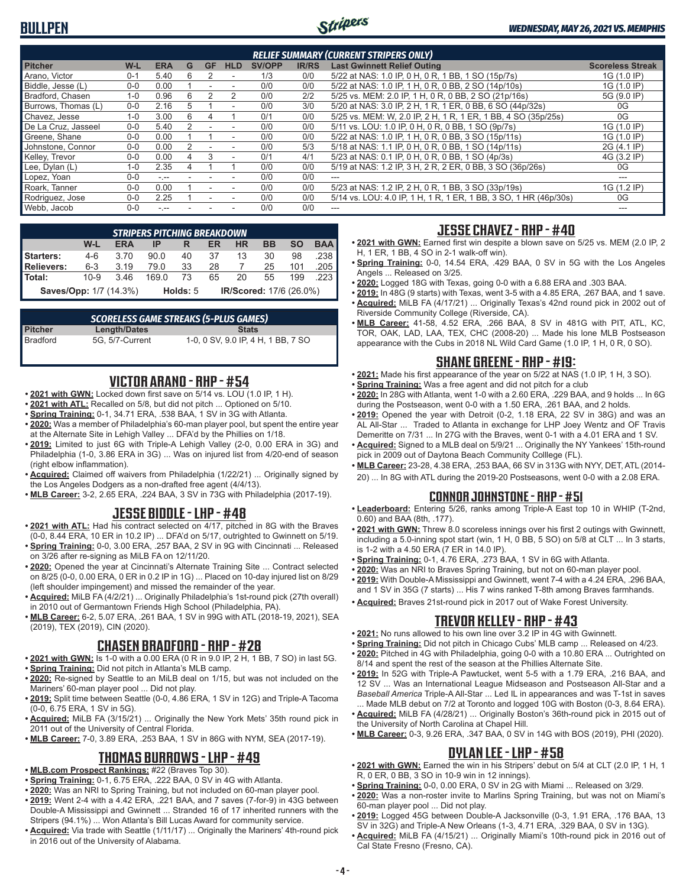

| <b>RELIEF SUMMARY (CURRENT STRIPERS ONLY)</b> |         |            |     |           |            |               |              |                                                                  |                         |  |  |
|-----------------------------------------------|---------|------------|-----|-----------|------------|---------------|--------------|------------------------------------------------------------------|-------------------------|--|--|
| <b>Pitcher</b>                                | $W-L$   | <b>ERA</b> | G   | <b>GF</b> | <b>HLD</b> | <b>SV/OPP</b> | <b>IR/RS</b> | <b>Last Gwinnett Relief Outing</b>                               | <b>Scoreless Streak</b> |  |  |
| Arano, Victor                                 | $0 - 1$ | 5.40       | 6   | 2         |            | 1/3           | 0/0          | 5/22 at NAS: 1.0 IP, 0 H, 0 R, 1 BB, 1 SO (15p/7s)               | 1G (1.0 IP)             |  |  |
| Biddle, Jesse (L)                             | $0 - 0$ | 0.00       |     |           | ۰          | 0/0           | 0/0          | 5/22 at NAS: 1.0 IP, 1 H, 0 R, 0 BB, 2 SO (14p/10s)              | 1G (1.0 IP)             |  |  |
| Bradford, Chasen                              | $1 - 0$ | 0.96       | 6   |           | 2          | 0/0           | 2/2          | 5/25 vs. MEM: 2.0 IP, 1 H, 0 R, 0 BB, 2 SO (21p/16s)             | 5G (9.0 IP)             |  |  |
| Burrows, Thomas (L)                           | $0 - 0$ | 2.16       | 'n. |           | ۰          | 0/0           | 3/0          | 5/20 at NAS: 3.0 IP, 2 H, 1 R, 1 ER, 0 BB, 6 SO (44p/32s)        | 0G                      |  |  |
| Chavez, Jesse                                 | $1 - 0$ | 3.00       | 6   | 4         |            | 0/1           | 0/0          | 5/25 vs. MEM: W, 2.0 IP, 2 H, 1 R, 1 ER, 1 BB, 4 SO (35p/25s)    | 0G                      |  |  |
| De La Cruz. Jasseel                           | $0 - 0$ | 5.40       |     |           | ٠          | 0/0           | 0/0          | 5/11 vs. LOU: 1.0 IP. 0 H. 0 R. 0 BB. 1 SO (9p/7s)               | 1G (1.0 IP)             |  |  |
| Greene, Shane                                 | $0 - 0$ | 0.00       |     |           | ٠          | 0/0           | 0/0          | 5/22 at NAS: 1.0 IP, 1 H, 0 R, 0 BB, 3 SO (15p/11s)              | 1G (1.0 IP)             |  |  |
| Johnstone, Connor                             | $0 - 0$ | 0.00       |     |           |            | 0/0           | 5/3          | 5/18 at NAS: 1.1 IP, 0 H, 0 R, 0 BB, 1 SO (14p/11s)              | 2G (4.1 IP)             |  |  |
| Kelley, Trevor                                | $0 - 0$ | 0.00       | 4   | 3         | ۰          | 0/1           | 4/1          | 5/23 at NAS: 0.1 IP, 0 H, 0 R, 0 BB, 1 SO (4p/3s)                | 4G (3.2 IP)             |  |  |
| Lee, Dylan (L)                                | $1 - 0$ | 2.35       |     |           |            | 0/0           | 0/0          | 5/19 at NAS: 1.2 IP, 3 H, 2 R, 2 ER, 0 BB, 3 SO (36p/26s)        | 0G                      |  |  |
| Lopez, Yoan                                   | $0-0$   | $-1$       |     |           |            | 0/0           | 0/0          | ---                                                              |                         |  |  |
| Roark, Tanner                                 | $0 - 0$ | 0.00       |     |           | ۰          | 0/0           | 0/0          | 5/23 at NAS: 1.2 IP, 2 H, 0 R, 1 BB, 3 SO (33p/19s)              | 1G (1.2 IP)             |  |  |
| Rodriguez, Jose                               | $0 - 0$ | 2.25       |     |           |            | 0/0           | 0/0          | 5/14 vs. LOU: 4.0 IP, 1 H, 1 R, 1 ER, 1 BB, 3 SO, 1 HR (46p/30s) | 0G                      |  |  |
| Webb, Jacob                                   | $0 - 0$ | - --       |     |           |            | 0/0           | 0/0          |                                                                  |                         |  |  |

| <b>STRIPERS PITCHING BREAKDOWN</b>                                          |          |      |                                     |    |    |    |    |     |        |  |  |  |  |
|-----------------------------------------------------------------------------|----------|------|-------------------------------------|----|----|----|----|-----|--------|--|--|--|--|
| <b>SO</b><br><b>BAA</b><br>W-L<br>ВB<br><b>HR</b><br><b>ERA</b><br>ER<br>IP |          |      |                                     |    |    |    |    |     |        |  |  |  |  |
| Starters:                                                                   | $4-6$    | 3.70 | 90.0                                | 40 | 37 | 13 | 30 | 98  | .238   |  |  |  |  |
| <b>Relievers:</b>                                                           | $6 - 3$  | 3.19 | 79.0                                | 33 | 28 |    | 25 | 101 | .205 l |  |  |  |  |
| l Total:                                                                    | $10 - 9$ | 346  | 169 Q                               | 73 | 65 | 20 | 55 | 199 | .223   |  |  |  |  |
| <b>Saves/Opp: 1/7 (14.3%)</b>                                               |          |      | IR/Scored: 17/6 (26.0%)<br>Holds: 5 |    |    |    |    |     |        |  |  |  |  |

| <b>SCORELESS GAME STREAKS (5-PLUS GAMES)</b> |                 |                                    |  |  |  |  |  |  |  |  |  |
|----------------------------------------------|-----------------|------------------------------------|--|--|--|--|--|--|--|--|--|
| <b>Pitcher</b>                               | Length/Dates    | <b>Stats</b>                       |  |  |  |  |  |  |  |  |  |
| Bradford                                     | 5G. 5/7-Current | 1-0, 0 SV, 9.0 IP, 4 H, 1 BB, 7 SO |  |  |  |  |  |  |  |  |  |

## **VICTOR ARANO - RHP - #54**

- **• 2021 with GWN:** Locked down first save on 5/14 vs. LOU (1.0 IP, 1 H).
- **• 2021 with ATL:** Recalled on 5/8, but did not pitch ... Optioned on 5/10.
- **• Spring Training:** 0-1, 34.71 ERA, .538 BAA, 1 SV in 3G with Atlanta.
- **• 2020:** Was a member of Philadelphia's 60-man player pool, but spent the entire year at the Alternate Site in Lehigh Valley ... DFA'd by the Phillies on 1/18.
- **• 2019:** Limited to just 6G with Triple-A Lehigh Valley (2-0, 0.00 ERA in 3G) and Philadelphia (1-0, 3.86 ERA in 3G) ... Was on injured list from 4/20-end of season (right elbow inflammation).
- **• Acquired:** Claimed off waivers from Philadelphia (1/22/21) ... Originally signed by the Los Angeles Dodgers as a non-drafted free agent (4/4/13).
- **• MLB Career:** 3-2, 2.65 ERA, .224 BAA, 3 SV in 73G with Philadelphia (2017-19).

#### **JESSE BIDDLE - LHP - #48**

- **• 2021 with ATL:** Had his contract selected on 4/17, pitched in 8G with the Braves (0-0, 8.44 ERA, 10 ER in 10.2 IP) ... DFA'd on 5/17, outrighted to Gwinnett on 5/19.
- **• Spring Training:** 0-0, 3.00 ERA, .257 BAA, 2 SV in 9G with Cincinnati ... Released on 3/26 after re-signing as MiLB FA on 12/11/20.
- **• 2020:** Opened the year at Cincinnati's Alternate Training Site ... Contract selected on 8/25 (0-0, 0.00 ERA, 0 ER in 0.2 IP in 1G) ... Placed on 10-day injured list on 8/29 (left shoulder impingement) and missed the remainder of the year.
- **• Acquired:** MiLB FA (4/2/21) ... Originally Philadelphia's 1st-round pick (27th overall) in 2010 out of Germantown Friends High School (Philadelphia, PA).
- **• MLB Career:** 6-2, 5.07 ERA, .261 BAA, 1 SV in 99G with ATL (2018-19, 2021), SEA (2019), TEX (2019), CIN (2020).

#### **CHASEN BRADFORD - RHP - #28**

- **• 2021 with GWN:** Is 1-0 with a 0.00 ERA (0 R in 9.0 IP, 2 H, 1 BB, 7 SO) in last 5G. **• Spring Training:** Did not pitch in Atlanta's MLB camp.
- **• 2020:** Re-signed by Seattle to an MiLB deal on 1/15, but was not included on the Mariners' 60-man player pool ... Did not play.
- **• 2019:** Split time between Seattle (0-0, 4.86 ERA, 1 SV in 12G) and Triple-A Tacoma (0-0, 6.75 ERA, 1 SV in 5G).
- **• Acquired:** MiLB FA (3/15/21) ... Originally the New York Mets' 35th round pick in 2011 out of the University of Central Florida.
- **• MLB Career:** 7-0, 3.89 ERA, .253 BAA, 1 SV in 86G with NYM, SEA (2017-19).

# **THOMAS BURROWS - LHP - #49**

- **• MLB.com Prospect Rankings:** #22 (Braves Top 30). **• Spring Training:** 0-1, 6.75 ERA, .222 BAA, 0 SV in 4G with Atlanta.
- 
- **• 2020:** Was an NRI to Spring Training, but not included on 60-man player pool. **• 2019:** Went 2-4 with a 4.42 ERA, .221 BAA, and 7 saves (7-for-9) in 43G between Double-A Mississippi and Gwinnett ... Stranded 16 of 17 inherited runners with the Stripers (94.1%) ... Won Atlanta's Bill Lucas Award for community service.
- **• Acquired:** Via trade with Seattle (1/11/17) ... Originally the Mariners' 4th-round pick in 2016 out of the University of Alabama.

#### **JESSE CHAVEZ - RHP - #40**

- **• 2021 with GWN:** Earned first win despite a blown save on 5/25 vs. MEM (2.0 IP, 2 H, 1 ER, 1 BB, 4 SO in 2-1 walk-off win).
- **• Spring Training:** 0-0, 14.54 ERA, .429 BAA, 0 SV in 5G with the Los Angeles Angels ... Released on 3/25.
- **• 2020:** Logged 18G with Texas, going 0-0 with a 6.88 ERA and .303 BAA.
- **• 2019:** In 48G (9 starts) with Texas, went 3-5 with a 4.85 ERA, .267 BAA, and 1 save. **• Acquired:** MiLB FA (4/17/21) ... Originally Texas's 42nd round pick in 2002 out of Riverside Community College (Riverside, CA).
- **• MLB Career:** 41-58, 4.52 ERA, .266 BAA, 8 SV in 481G with PIT, ATL, KC, TOR, OAK, LAD, LAA, TEX, CHC (2008-20) ... Made his lone MLB Postseason appearance with the Cubs in 2018 NL Wild Card Game (1.0 IP, 1 H, 0 R, 0 SO).

## **SHANE GREENE - RHP - #19:**

- **• 2021:** Made his first appearance of the year on 5/22 at NAS (1.0 IP, 1 H, 3 SO).
- **• Spring Training:** Was a free agent and did not pitch for a club
- **• 2020:** In 28G with Atlanta, went 1-0 with a 2.60 ERA, .229 BAA, and 9 holds ... In 6G during the Postseason, went 0-0 with a 1.50 ERA, .261 BAA, and 2 holds.
- **• 2019:** Opened the year with Detroit (0-2, 1.18 ERA, 22 SV in 38G) and was an AL All-Star ... Traded to Atlanta in exchange for LHP Joey Wentz and OF Travis Demeritte on 7/31 ... In 27G with the Braves, went 0-1 with a 4.01 ERA and 1 SV.
- **• Acquired:** Signed to a MLB deal on 5/9/21 ... Originally the NY Yankees' 15th-round pick in 2009 out of Daytona Beach Community Colllege (FL).
- **• MLB Career:** 23-28, 4.38 ERA, .253 BAA, 66 SV in 313G with NYY, DET, ATL (2014- 20) ... In 8G with ATL during the 2019-20 Postseasons, went 0-0 with a 2.08 ERA.

#### **CONNOR JOHNSTONE - RHP - #51**

- **• Leaderboard:** Entering 5/26, ranks among Triple-A East top 10 in WHIP (T-2nd, 0.60) and BAA (8th, .177).
- **• 2021 with GWN:** Threw 8.0 scoreless innings over his first 2 outings with Gwinnett, including a 5.0-inning spot start (win, 1 H, 0 BB, 5 SO) on 5/8 at CLT ... In 3 starts, is 1-2 with a 4.50 ERA (7 ER in 14.0 IP).
- **• Spring Training:** 0-1, 4.76 ERA, .273 BAA, 1 SV in 6G with Atlanta.
- **• 2020:** Was an NRI to Braves Spring Training, but not on 60-man player pool. **• 2019:** With Double-A Mississippi and Gwinnett, went 7-4 with a 4.24 ERA, .296 BAA,
- and 1 SV in 35G (7 starts) ... His 7 wins ranked T-8th among Braves farmhands.
- **• Acquired:** Braves 21st-round pick in 2017 out of Wake Forest University.

## **TREVOR KELLEY - RHP - #43**

- **• 2021:** No runs allowed to his own line over 3.2 IP in 4G with Gwinnett.
- **• Spring Training:** Did not pitch in Chicago Cubs' MLB camp ... Released on 4/23. **• 2020:** Pitched in 4G with Philadelphia, going 0-0 with a 10.80 ERA ... Outrighted on
- 8/14 and spent the rest of the season at the Phillies Alternate Site.
- **• 2019:** In 52G with Triple-A Pawtucket, went 5-5 with a 1.79 ERA, .216 BAA, and 12 SV ... Was an International League Midseason and Postseason All-Star and a *Baseball America* Triple-A All-Star ... Led IL in appearances and was T-1st in saves ... Made MLB debut on 7/2 at Toronto and logged 10G with Boston (0-3, 8.64 ERA).
- **• Acquired:** MiLB FA (4/28/21) ... Originally Boston's 36th-round pick in 2015 out of the University of North Carolina at Chapel Hill.
- **• MLB Career:** 0-3, 9.26 ERA, .347 BAA, 0 SV in 14G with BOS (2019), PHI (2020).

## **DYLAN LEE - LHP - #58**

- **• 2021 with GWN:** Earned the win in his Stripers' debut on 5/4 at CLT (2.0 IP, 1 H, 1 R, 0 ER, 0 BB, 3 SO in 10-9 win in 12 innings).
- **• Spring Training:** 0-0, 0.00 ERA, 0 SV in 2G with Miami ... Released on 3/29.
- **• 2020:** Was a non-roster invite to Marlins Spring Training, but was not on Miami's 60-man player pool ... Did not play.
- **• 2019:** Logged 45G between Double-A Jacksonville (0-3, 1.91 ERA, .176 BAA, 13 SV in 32G) and Triple-A New Orleans (1-3, 4.71 ERA, .329 BAA, 0 SV in 13G).
- **• Acquired:** MiLB FA (4/15/21) ... Originally Miami's 10th-round pick in 2016 out of Cal State Fresno (Fresno, CA).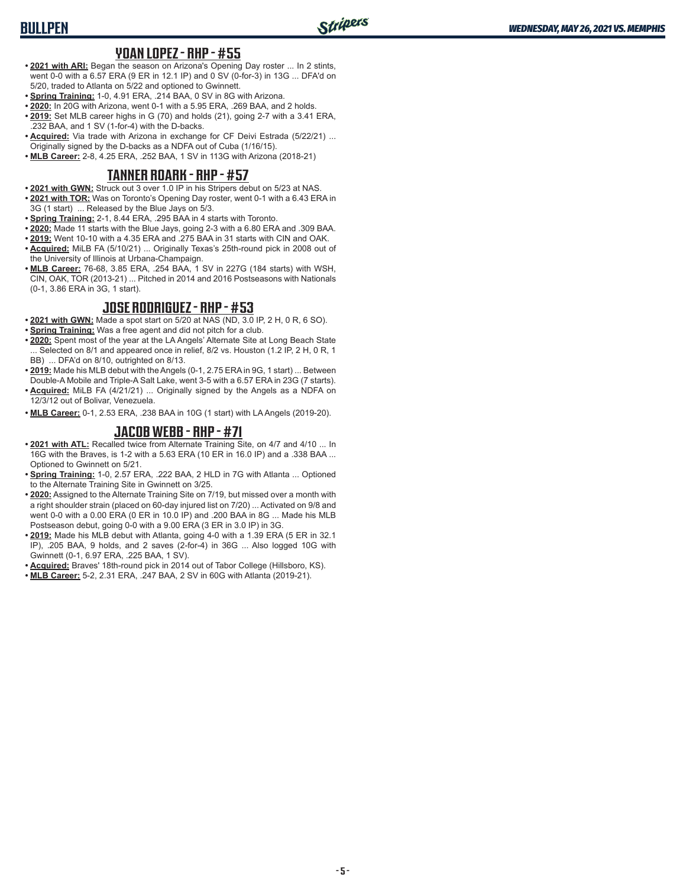# **BULLPEN**

#### **YOAN LOPEZ - RHP - #55**

- **• 2021 with ARI:** Began the season on Arizona's Opening Day roster ... In 2 stints, went 0-0 with a 6.57 ERA (9 ER in 12.1 IP) and 0 SV (0-for-3) in 13G ... DFA'd on 5/20, traded to Atlanta on 5/22 and optioned to Gwinnett.
- **• Spring Training:** 1-0, 4.91 ERA, .214 BAA, 0 SV in 8G with Arizona.
- **• 2020:** In 20G with Arizona, went 0-1 with a 5.95 ERA, .269 BAA, and 2 holds.
- **• 2019:** Set MLB career highs in G (70) and holds (21), going 2-7 with a 3.41 ERA, .232 BAA, and 1 SV (1-for-4) with the D-backs.
- **• Acquired:** Via trade with Arizona in exchange for CF Deivi Estrada (5/22/21) ... Originally signed by the D-backs as a NDFA out of Cuba (1/16/15).
- **• MLB Career:** 2-8, 4.25 ERA, .252 BAA, 1 SV in 113G with Arizona (2018-21)

### **TANNER ROARK - RHP - #57**

- **• 2021 with GWN:** Struck out 3 over 1.0 IP in his Stripers debut on 5/23 at NAS.
- **• 2021 with TOR:** Was on Toronto's Opening Day roster, went 0-1 with a 6.43 ERA in 3G (1 start) ... Released by the Blue Jays on 5/3.
- **• Spring Training:** 2-1, 8.44 ERA, .295 BAA in 4 starts with Toronto.
- **• 2020:** Made 11 starts with the Blue Jays, going 2-3 with a 6.80 ERA and .309 BAA.
- **• 2019:** Went 10-10 with a 4.35 ERA and .275 BAA in 31 starts with CIN and OAK.
- **• Acquired:** MiLB FA (5/10/21) ... Originally Texas's 25th-round pick in 2008 out of the University of Illinois at Urbana-Champaign.
- **• MLB Career:** 76-68, 3.85 ERA, .254 BAA, 1 SV in 227G (184 starts) with WSH, CIN, OAK, TOR (2013-21) ... Pitched in 2014 and 2016 Postseasons with Nationals (0-1, 3.86 ERA in 3G, 1 start).

### **JOSE RODRIGUEZ - RHP - #53**

- **• 2021 with GWN:** Made a spot start on 5/20 at NAS (ND, 3.0 IP, 2 H, 0 R, 6 SO).
- **• Spring Training:** Was a free agent and did not pitch for a club.
- **• 2020:** Spent most of the year at the LA Angels' Alternate Site at Long Beach State ... Selected on 8/1 and appeared once in relief, 8/2 vs. Houston (1.2 IP, 2 H, 0 R, 1 BB) ... DFA'd on 8/10, outrighted on 8/13.
- **• 2019:** Made his MLB debut with the Angels (0-1, 2.75 ERA in 9G, 1 start) ... Between Double-A Mobile and Triple-A Salt Lake, went 3-5 with a 6.57 ERA in 23G (7 starts).
- **• Acquired:** MiLB FA (4/21/21) ... Originally signed by the Angels as a NDFA on 12/3/12 out of Bolivar, Venezuela.
- **• MLB Career:** 0-1, 2.53 ERA, .238 BAA in 10G (1 start) with LA Angels (2019-20).

### **JACOB WEBB - RHP - #71**

- **• 2021 with ATL:** Recalled twice from Alternate Training Site, on 4/7 and 4/10 ... In 16G with the Braves, is 1-2 with a 5.63 ERA (10 ER in 16.0 IP) and a .338 BAA ... Optioned to Gwinnett on 5/21.
- **• Spring Training:** 1-0, 2.57 ERA, .222 BAA, 2 HLD in 7G with Atlanta ... Optioned to the Alternate Training Site in Gwinnett on 3/25.
- **• 2020:** Assigned to the Alternate Training Site on 7/19, but missed over a month with a right shoulder strain (placed on 60-day injured list on 7/20) ... Activated on 9/8 and went 0-0 with a 0.00 ERA (0 ER in 10.0 IP) and .200 BAA in 8G ... Made his MLB Postseason debut, going 0-0 with a 9.00 ERA (3 ER in 3.0 IP) in 3G.
- **• 2019:** Made his MLB debut with Atlanta, going 4-0 with a 1.39 ERA (5 ER in 32.1 IP), .205 BAA, 9 holds, and 2 saves (2-for-4) in 36G ... Also logged 10G with Gwinnett (0-1, 6.97 ERA, .225 BAA, 1 SV).
- **• Acquired:** Braves' 18th-round pick in 2014 out of Tabor College (Hillsboro, KS).
- **• MLB Career:** 5-2, 2.31 ERA, .247 BAA, 2 SV in 60G with Atlanta (2019-21).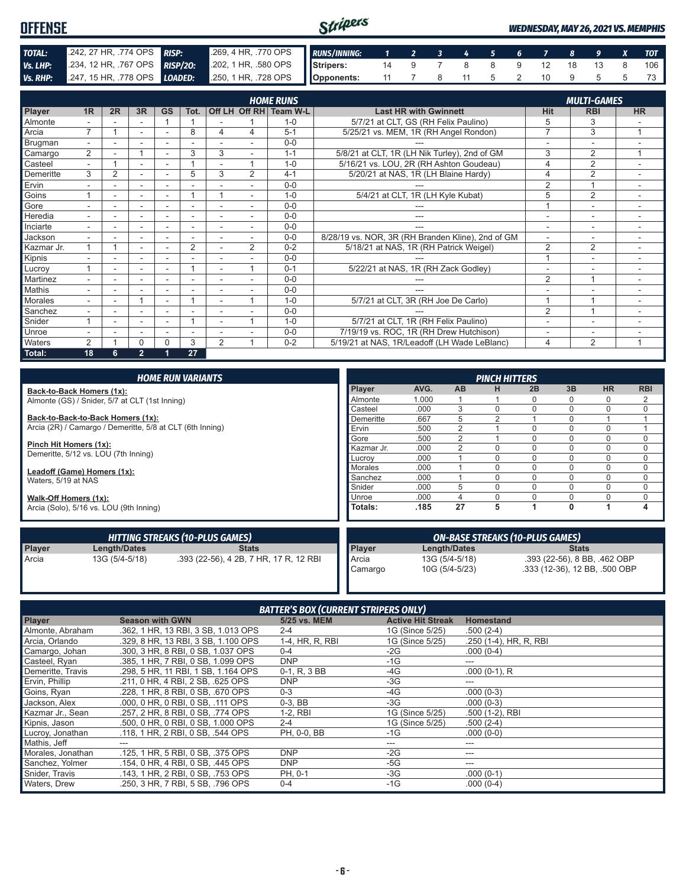| <b>OFFENSE</b>  |                              | Stripers                                            |  |  | <b>WEDNESDAY, MAY 26, 2021 VS. MEMPHIS</b> |  |                       |  |  |  |            |
|-----------------|------------------------------|-----------------------------------------------------|--|--|--------------------------------------------|--|-----------------------|--|--|--|------------|
| TOTAL:          | 242, 27 HR, .774 OPS RISP:   | 269, 4 HR, 770 OPS RUNS/INNING: 1 2 3 4 5 6 7 8 9 X |  |  |                                            |  |                       |  |  |  | <b>TOT</b> |
| Vs. LHP:        | 234, 12 HR, 767 OPS RISP/20: | 202, 1 HR, 580 OPS Stripers:                        |  |  |                                            |  | 14 9 7 8 8 9 12 18 13 |  |  |  | 106        |
| <b>Vs. RHP:</b> | 247, 15 HR, 778 OPS LOADED:  |                                                     |  |  |                                            |  | 11 7 8 11 5 2 10 9    |  |  |  |            |

|            |                |                |                          |                          | <b>MULTI-GAMES</b> |                |                |                        |                                                   |                          |                          |                         |
|------------|----------------|----------------|--------------------------|--------------------------|--------------------|----------------|----------------|------------------------|---------------------------------------------------|--------------------------|--------------------------|-------------------------|
| Player     | 1R             | 2R             | 3R                       | <b>GS</b>                | Tot.               |                |                | Off LH Off RH Team W-L | <b>Last HR with Gwinnett</b>                      | <b>Hit</b>               | <b>RBI</b>               | <b>HR</b>               |
| Almonte    |                |                |                          |                          |                    |                |                | $1 - 0$                | 5/7/21 at CLT, GS (RH Felix Paulino)              | 5                        | 3                        |                         |
| Arcia      | $\overline{7}$ |                | ۰                        | ٠                        | 8                  | 4              | 4              | $5 - 1$                | 5/25/21 vs. MEM, 1R (RH Angel Rondon)             | $\overline{7}$           | 3                        | $\overline{1}$          |
| Brugman    | $\sim$         |                | ۰                        | ۰                        | -                  |                |                | $0 - 0$                |                                                   | $\overline{\phantom{0}}$ | ۰                        |                         |
| Camargo    | $\overline{2}$ |                |                          | ۰                        | 3                  | 3              | ۰              | $1 - 1$                | 5/8/21 at CLT, 1R (LH Nik Turley), 2nd of GM      | 3                        | 2                        | 4                       |
| Casteel    |                |                |                          |                          |                    |                | 4              | $1 - 0$                | 5/16/21 vs. LOU, 2R (RH Ashton Goudeau)           | 4                        | $\overline{2}$           |                         |
| Demeritte  | 3              | $\overline{2}$ | ÷.                       |                          | 5                  | 3              | $\overline{2}$ | $4 - 1$                | 5/20/21 at NAS, 1R (LH Blaine Hardy)              | 4                        | $\overline{2}$           |                         |
| Ervin      |                |                |                          |                          |                    |                |                | $0 - 0$                |                                                   | $\overline{2}$           | $\overline{A}$           | ۰                       |
| Goins      |                |                | ÷                        | $\overline{a}$           |                    |                |                | $1 - 0$                | 5/4/21 at CLT, 1R (LH Kyle Kubat)                 | 5                        | $\overline{2}$           |                         |
| Gore       |                |                | -                        | $\overline{\phantom{a}}$ | ٠                  |                |                | $0 - 0$                |                                                   |                          | ۰                        | -                       |
| Heredia    |                |                | ۰                        |                          | ä,                 |                |                | $0 - 0$                | ---                                               | $\overline{\phantom{a}}$ | ٠                        |                         |
| Inciarte   |                |                | ۰                        |                          | ٠                  | ٠              |                | $0 - 0$                | ---                                               | $\overline{\phantom{a}}$ | ۰                        | ۰                       |
| Jackson    | $\sim$         |                | ۰                        | $\overline{\phantom{a}}$ | ۰                  | ٠              |                | $0 - 0$                | 8/28/19 vs. NOR, 3R (RH Branden Kline), 2nd of GM | $\overline{\phantom{a}}$ | $\sim$                   | ٠                       |
| Kazmar Jr. |                |                | $\overline{\phantom{a}}$ | ۰                        | 2                  | ٠              | $\overline{2}$ | $0 - 2$                | 5/18/21 at NAS, 1R (RH Patrick Weigel)            | 2                        | $\overline{2}$           | ۰                       |
| Kipnis     |                |                | ۰                        | ٠                        | ä,                 |                |                | $0 - 0$                |                                                   |                          | $\overline{\phantom{a}}$ | -                       |
| Lucrov     |                |                | ۰                        | ٠                        |                    |                |                | $0 - 1$                | 5/22/21 at NAS, 1R (RH Zack Godley)               | $\overline{\phantom{a}}$ |                          | ۰                       |
| Martinez   |                |                |                          |                          |                    |                |                | $0 - 0$                |                                                   | 2                        | $\overline{ }$           |                         |
| Mathis     |                |                |                          |                          |                    |                |                | $0 - 0$                |                                                   |                          |                          |                         |
| Morales    |                |                |                          |                          |                    |                |                | $1 - 0$                | 5/7/21 at CLT, 3R (RH Joe De Carlo)               |                          |                          |                         |
| Sanchez    |                |                |                          |                          |                    |                |                | $0 - 0$                |                                                   | $\overline{2}$           | 1                        | ٠                       |
| Snider     |                |                | ٠                        |                          |                    |                |                | $1 - 0$                | 5/7/21 at CLT, 1R (RH Felix Paulino)              |                          | $\overline{\phantom{a}}$ | ۰                       |
| Unroe      |                |                | ۰                        | ٠                        | ÷                  |                |                | $0 - 0$                | 7/19/19 vs. ROC, 1R (RH Drew Hutchison)           | ٠                        | $\overline{\phantom{a}}$ |                         |
| Waters     | $\overline{2}$ |                | N                        | U                        | 3                  | $\overline{2}$ |                | $0 - 2$                | 5/19/21 at NAS, 1R/Leadoff (LH Wade LeBlanc)      | 4                        | 2                        | $\overline{\mathbf{A}}$ |
| Total:     | 18             | 6              | $\overline{2}$           |                          | 27                 |                |                |                        |                                                   |                          |                          |                         |

|                                         |                                                           | <b>HOME RUN VARIANTS</b>               |            |       |                | <b>PINCH HITTERS</b> |                                        |              |                               |                |
|-----------------------------------------|-----------------------------------------------------------|----------------------------------------|------------|-------|----------------|----------------------|----------------------------------------|--------------|-------------------------------|----------------|
| Back-to-Back Homers (1x):               |                                                           |                                        | Player     | AVG.  | <b>AB</b>      | н                    | 2B                                     | 3B           | <b>HR</b>                     | <b>RBI</b>     |
|                                         | Almonte (GS) / Snider, 5/7 at CLT (1st Inning)            |                                        | Almonte    | 1.000 |                |                      | 0                                      | 0            | 0                             | $\overline{2}$ |
|                                         |                                                           |                                        | Casteel    | .000  | 3              |                      |                                        | $\Omega$     | 0                             | $\mathbf 0$    |
|                                         | Back-to-Back-to-Back Homers (1x):                         |                                        | Demeritte  | .667  | 5              | っ                    |                                        | $\Omega$     |                               |                |
|                                         | Arcia (2R) / Camargo / Demeritte, 5/8 at CLT (6th Inning) |                                        | Ervin      | .500  | 2              |                      |                                        | $\Omega$     | 0                             |                |
|                                         |                                                           |                                        | Gore       | .500  | $\overline{2}$ |                      |                                        | $\Omega$     | 0                             | $\mathbf 0$    |
| Pinch Hit Homers (1x):                  |                                                           |                                        | Kazmar Jr. | .000  | 2              |                      |                                        | $\Omega$     | 0                             | 0              |
|                                         | Demeritte, 5/12 vs. LOU (7th Inning)                      |                                        | Lucrov     | .000  |                |                      | $\Omega$                               | $\Omega$     | 0                             | $\mathbf 0$    |
| Leadoff (Game) Homers (1x):             |                                                           | Morales                                | .000       |       |                | $\Omega$             | $\Omega$                               | 0            | $\Omega$                      |                |
| Waters, 5/19 at NAS                     |                                                           | Sanchez                                | .000       |       | $\Omega$       | $\Omega$             | $\Omega$                               | 0            | 0                             |                |
|                                         |                                                           | Snider                                 | .000       | 5     |                | 0                    | $\Omega$                               | 0            | $\mathbf 0$                   |                |
| Walk-Off Homers (1x):                   |                                                           | Unroe                                  | .000       | 4     |                | $\Omega$             | $\Omega$                               | 0            | $\mathbf 0$                   |                |
| Arcia (Solo), 5/16 vs. LOU (9th Inning) |                                                           | Totals:                                | .185       | 27    | 5              |                      | $\mathbf{0}$                           |              | 4                             |                |
|                                         |                                                           | <b>HITTING STREAKS (10-PLUS GAMES)</b> |            |       |                |                      | <b>ON-BASE STREAKS (10-PLUS GAMES)</b> |              |                               |                |
| Player                                  | Length/Dates                                              | <b>Stats</b>                           | Player     |       | Length/Dates   |                      |                                        | <b>Stats</b> |                               |                |
| Arcia                                   | 13G (5/4-5/18)                                            | .393 (22-56), 4 2B, 7 HR, 17 R, 12 RBI | Arcia      |       | 13G (5/4-5/18) |                      |                                        |              | .393 (22-56), 8 BB, .462 OBP  |                |
|                                         |                                                           |                                        | Camargo    |       | 10G (5/4-5/23) |                      |                                        |              | .333 (12-36), 12 BB, .500 OBP |                |

| <b>BATTER'S BOX (CURRENT STRIPERS ONLY)</b> |                                     |                 |                          |                        |
|---------------------------------------------|-------------------------------------|-----------------|--------------------------|------------------------|
| Player                                      | <b>Season with GWN</b>              | 5/25 vs. MEM    | <b>Active Hit Streak</b> | <b>Homestand</b>       |
| Almonte, Abraham                            | .362, 1 HR, 13 RBI, 3 SB, 1,013 OPS | $2 - 4$         | 1G (Since 5/25)          | $.500(2-4)$            |
| Arcia, Orlando                              | .329, 8 HR, 13 RBI, 3 SB, 1.100 OPS | 1-4, HR, R, RBI | 1G (Since 5/25)          | .250 (1-4), HR, R, RBI |
| Camargo, Johan                              | .300. 3 HR. 8 RBI. 0 SB. 1.037 OPS  | $0 - 4$         | -2G                      | $.000(0-4)$            |
| Casteel, Ryan                               | .385, 1 HR, 7 RBI, 0 SB, 1.099 OPS  | <b>DNP</b>      | $-1G$                    | ---                    |
| Demeritte, Travis                           | .298, 5 HR, 11 RBI, 1 SB, 1.164 OPS | 0-1, R, 3 BB    | -4G                      | $.000(0-1)$ , R        |
| Ervin, Phillip                              | .211, 0 HR, 4 RBI, 2 SB, .625 OPS   | <b>DNP</b>      | -3G                      | ---                    |
| Goins, Ryan                                 | .228. 1 HR. 8 RBI. 0 SB. .670 OPS   | $0 - 3$         | -4G                      | $.000(0-3)$            |
| Jackson, Alex                               | .000, 0 HR, 0 RBI, 0 SB, .111 OPS   | $0-3.$ BB       | $-3G$                    | $.000(0-3)$            |
| Kazmar Jr., Sean                            | .257, 2 HR, 8 RBI, 0 SB, .774 OPS   | 1-2, RBI        | 1G (Since 5/25)          | .500 (1-2), RBI        |
| Kipnis, Jason                               | .500, 0 HR, 0 RBI, 0 SB, 1,000 OPS  | $2 - 4$         | 1G (Since 5/25)          | $.500(2-4)$            |
| Lucroy, Jonathan                            | .118. 1 HR. 2 RBI. 0 SB. .544 OPS   | PH. 0-0. BB     | $-1G$                    | $.000(0-0)$            |
| Mathis, Jeff                                | ---                                 |                 | ---                      | ---                    |
| Morales, Jonathan                           | .125, 1 HR, 5 RBI, 0 SB, .375 OPS   | <b>DNP</b>      | -2G                      | ---                    |
| Sanchez, Yolmer                             | .154, 0 HR, 4 RBI, 0 SB, .445 OPS   | <b>DNP</b>      | $-5G$                    | ---                    |
| Snider, Travis                              | .143, 1 HR, 2 RBI, 0 SB, .753 OPS   | PH, 0-1         | $-3G$                    | $.000(0-1)$            |
| Waters, Drew                                | .250, 3 HR, 7 RBI, 5 SB, .796 OPS   | $0 - 4$         | $-1G$                    | $.000(0-4)$            |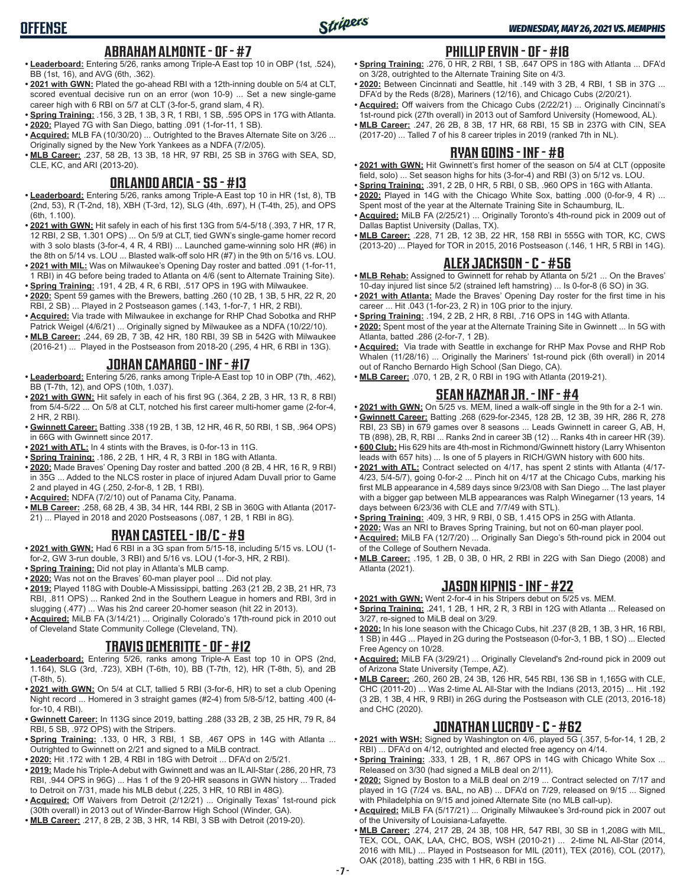## **ABRAHAM ALMONTE - OF - #7**

- **• Leaderboard:** Entering 5/26, ranks among Triple-A East top 10 in OBP (1st, .524), BB (1st, 16), and AVG (6th, .362).
- **• 2021 with GWN:** Plated the go-ahead RBI with a 12th-inning double on 5/4 at CLT, scored eventual decisive run on an error (won 10-9) ... Set a new single-game career high with 6 RBI on 5/7 at CLT (3-for-5, grand slam, 4 R).
- **• Spring Training:** .156, 3 2B, 1 3B, 3 R, 1 RBI, 1 SB, .595 OPS in 17G with Atlanta.
- **• 2020:** Played 7G with San Diego, batting .091 (1-for-11, 1 SB).
- **• Acquired:** MLB FA (10/30/20) ... Outrighted to the Braves Alternate Site on 3/26 ... Originally signed by the New York Yankees as a NDFA (7/2/05).
- **• MLB Career:** .237, 58 2B, 13 3B, 18 HR, 97 RBI, 25 SB in 376G with SEA, SD, CLE, KC, and ARI (2013-20).

#### **ORLANDO ARCIA - SS - #13**

- **• Leaderboard:** Entering 5/26, ranks among Triple-A East top 10 in HR (1st, 8), TB (2nd, 53), R (T-2nd, 18), XBH (T-3rd, 12), SLG (4th, .697), H (T-4th, 25), and OPS (6th, 1.100).
- **• 2021 with GWN:** Hit safely in each of his first 13G from 5/4-5/18 (.393, 7 HR, 17 R, 12 RBI, 2 SB, 1.301 OPS) ... On 5/9 at CLT, tied GWN's single-game homer record with 3 solo blasts (3-for-4, 4 R, 4 RBI) ... Launched game-winning solo HR (#6) in the 8th on 5/14 vs. LOU ... Blasted walk-off solo HR (#7) in the 9th on 5/16 vs. LOU.
- **• 2021 with MIL:** Was on Milwaukee's Opening Day roster and batted .091 (1-for-11, 1 RBI) in 4G before being traded to Atlanta on 4/6 (sent to Alternate Training Site).
- **• Spring Training:** .191, 4 2B, 4 R, 6 RBI, .517 OPS in 19G with Milwaukee.
- **• 2020:** Spent 59 games with the Brewers, batting .260 (10 2B, 1 3B, 5 HR, 22 R, 20 RBI, 2 SB) ... Played in 2 Postseason games (.143, 1-for-7, 1 HR, 2 RBI).
- **• Acquired:** Via trade with Milwaukee in exchange for RHP Chad Sobotka and RHP Patrick Weigel (4/6/21) ... Originally signed by Milwaukee as a NDFA (10/22/10).
- **• MLB Career:** .244, 69 2B, 7 3B, 42 HR, 180 RBI, 39 SB in 542G with Milwaukee (2016-21) ... Played in the Postseason from 2018-20 (.295, 4 HR, 6 RBI in 13G).

## **JOHAN CAMARGO - INF - #17**

- **• Leaderboard:** Entering 5/26, ranks among Triple-A East top 10 in OBP (7th, .462), BB (T-7th, 12), and OPS (10th, 1.037).
- **• 2021 with GWN:** Hit safely in each of his first 9G (.364, 2 2B, 3 HR, 13 R, 8 RBI) from 5/4-5/22 ... On 5/8 at CLT, notched his first career multi-homer game (2-for-4, 2 HR, 2 RBI).
- **• Gwinnett Career:** Batting .338 (19 2B, 1 3B, 12 HR, 46 R, 50 RBI, 1 SB, .964 OPS) in 66G with Gwinnett since 2017.
- **• 2021 with ATL:** In 4 stints with the Braves, is 0-for-13 in 11G.
- **• Spring Training:** .186, 2 2B, 1 HR, 4 R, 3 RBI in 18G with Atlanta.
- **• 2020:** Made Braves' Opening Day roster and batted .200 (8 2B, 4 HR, 16 R, 9 RBI) in 35G ... Added to the NLCS roster in place of injured Adam Duvall prior to Game 2 and played in 4G (.250, 2-for-8, 1 2B, 1 RBI).
- **• Acquired:** NDFA (7/2/10) out of Panama City, Panama.
- **• MLB Career:** .258, 68 2B, 4 3B, 34 HR, 144 RBI, 2 SB in 360G with Atlanta (2017- 21) ... Played in 2018 and 2020 Postseasons (.087, 1 2B, 1 RBI in 8G).

## **RYAN CASTEEL - 1B/C - #9**

- **• 2021 with GWN:** Had 6 RBI in a 3G span from 5/15-18, including 5/15 vs. LOU (1 for-2, GW 3-run double, 3 RBI) and 5/16 vs. LOU (1-for-3, HR, 2 RBI).
- **• Spring Training:** Did not play in Atlanta's MLB camp.
- **• 2020:** Was not on the Braves' 60-man player pool ... Did not play.
- **• 2019:** Played 118G with Double-A Mississippi, batting .263 (21 2B, 2 3B, 21 HR, 73 RBI, .811 OPS) ... Ranked 2nd in the Southern League in homers and RBI, 3rd in slugging (.477) ... Was his 2nd career 20-homer season (hit 22 in 2013).
- **• Acquired:** MiLB FA (3/14/21) ... Originally Colorado's 17th-round pick in 2010 out of Cleveland State Community College (Cleveland, TN).

## **TRAVIS DEMERITTE - OF - #12**

- **• Leaderboard:** Entering 5/26, ranks among Triple-A East top 10 in OPS (2nd, 1.164), SLG (3rd, .723), XBH (T-6th, 10), BB (T-7th, 12), HR (T-8th, 5), and 2B (T-8th, 5).
- **• 2021 with GWN:** On 5/4 at CLT, tallied 5 RBI (3-for-6, HR) to set a club Opening Night record ... Homered in 3 straight games (#2-4) from 5/8-5/12, batting .400 (4 for-10, 4 RBI).
- **• Gwinnett Career:** In 113G since 2019, batting .288 (33 2B, 2 3B, 25 HR, 79 R, 84 RBI, 5 SB, .972 OPS) with the Stripers.
- **• Spring Training:** .133, 0 HR, 3 RBI, 1 SB, .467 OPS in 14G with Atlanta ... Outrighted to Gwinnett on 2/21 and signed to a MiLB contract.
- **• 2020:** Hit .172 with 1 2B, 4 RBI in 18G with Detroit ... DFA'd on 2/5/21.
- **• 2019:** Made his Triple-A debut with Gwinnett and was an IL All-Star (.286, 20 HR, 73 RBI, .944 OPS in 96G) ... Has 1 of the 9 20-HR seasons in GWN history ... Traded to Detroit on 7/31, made his MLB debut (.225, 3 HR, 10 RBI in 48G).
- **• Acquired:** Off Waivers from Detroit (2/12/21) ... Originally Texas' 1st-round pick (30th overall) in 2013 out of Winder-Barrow High School (Winder, GA).
- **• MLB Career:** .217, 8 2B, 2 3B, 3 HR, 14 RBI, 3 SB with Detroit (2019-20).

# **PHILLIP ERVIN - OF - #18**

- **• Spring Training:** .276, 0 HR, 2 RBI, 1 SB, .647 OPS in 18G with Atlanta ... DFA'd on 3/28, outrighted to the Alternate Training Site on 4/3.
- **• 2020:** Between Cincinnati and Seattle, hit .149 with 3 2B, 4 RBI, 1 SB in 37G ... DFA'd by the Reds (8/28), Mariners (12/16), and Chicago Cubs (2/20/21).
- **• Acquired:** Off waivers from the Chicago Cubs (2/22/21) ... Originally Cincinnati's 1st-round pick (27th overall) in 2013 out of Samford University (Homewood, AL).
- **• MLB Career:** .247, 26 2B, 8 3B, 17 HR, 68 RBI, 15 SB in 237G with CIN, SEA (2017-20) ... Talled 7 of his 8 career triples in 2019 (ranked 7th in NL).

## **RYAN GOINS - INF - #8**

- **• 2021 with GWN:** Hit Gwinnett's first homer of the season on 5/4 at CLT (opposite field, solo) ... Set season highs for hits (3-for-4) and RBI (3) on 5/12 vs. LOU.
- **• Spring Training:** .391, 2 2B, 0 HR, 5 RBI, 0 SB, .960 OPS in 16G with Atlanta.
- **• 2020:** Played in 14G with the Chicago White Sox, batting .000 (0-for-9, 4 R) ... Spent most of the year at the Alternate Training Site in Schaumburg, IL.
- **• Acquired:** MiLB FA (2/25/21) ... Originally Toronto's 4th-round pick in 2009 out of Dallas Baptist University (Dallas, TX).
- **• MLB Career:** .228, 71 2B, 12 3B, 22 HR, 158 RBI in 555G with TOR, KC, CWS (2013-20) ... Played for TOR in 2015, 2016 Postseason (.146, 1 HR, 5 RBI in 14G).

# **ALEX JACKSON - C - #56**

- **• MLB Rehab:** Assigned to Gwinnett for rehab by Atlanta on 5/21 ... On the Braves' 10-day injured list since 5/2 (strained left hamstring) ... Is 0-for-8 (6 SO) in 3G.
- **• 2021 with Atlanta:** Made the Braves' Opening Day roster for the first time in his career ... Hit .043 (1-for-23, 2 R) in 10G prior to the injury.
- **• Spring Training:** .194, 2 2B, 2 HR, 8 RBI, .716 OPS in 14G with Atlanta.
- **• 2020:** Spent most of the year at the Alternate Training Site in Gwinnett ... In 5G with Atlanta, batted .286 (2-for-7, 1 2B).
- **• Acquired:** Via trade with Seattle in exchange for RHP Max Povse and RHP Rob Whalen (11/28/16) ... Originally the Mariners' 1st-round pick (6th overall) in 2014 out of Rancho Bernardo High School (San Diego, CA).
- **• MLB Career:** .070, 1 2B, 2 R, 0 RBI in 19G with Atlanta (2019-21).

# **SEAN KAZMAR JR. - INF - #4**

- **• 2021 with GWN:** On 5/25 vs. MEM, lined a walk-off single in the 9th for a 2-1 win.
- **• Gwinnett Career:** Batting .268 (629-for-2345, 128 2B, 12 3B, 39 HR, 286 R, 278 RBI, 23 SB) in 679 games over 8 seasons ... Leads Gwinnett in career G, AB, H, TB (898), 2B, R, RBI ... Ranks 2nd in career 3B (12) ... Ranks 4th in career HR (39).
- **• 600 Club:** His 629 hits are 4th-most in Richmond/Gwinnett history (Larry Whisenton leads with 657 hits) ... Is one of 5 players in RICH/GWN history with 600 hits.
- **• 2021 with ATL:** Contract selected on 4/17, has spent 2 stints with Atlanta (4/17- 4/23, 5/4-5/7), going 0-for-2 ... Pinch hit on 4/17 at the Chicago Cubs, marking his first MLB appearance in 4,589 days since 9/23/08 with San Diego ... The last player with a bigger gap between MLB appearances was Ralph Winegarner (13 years, 14 days between 6/23/36 with CLE and 7/7/49 with STL).
- **• Spring Training:** .409, 3 HR, 9 RBI, 0 SB, 1.415 OPS in 25G with Atlanta.
- **• 2020:** Was an NRI to Braves Spring Training, but not on 60-man player pool.
- **• Acquired:** MiLB FA (12/7/20) ... Originally San Diego's 5th-round pick in 2004 out of the College of Southern Nevada.
- **• MLB Career:** .195, 1 2B, 0 3B, 0 HR, 2 RBI in 22G with San Diego (2008) and Atlanta (2021).

# **JASON KIPNIS - INF - #22**

- **• 2021 with GWN:** Went 2-for-4 in his Stripers debut on 5/25 vs. MEM.
- **• Spring Training:** .241, 1 2B, 1 HR, 2 R, 3 RBI in 12G with Atlanta ... Released on 3/27, re-signed to MiLB deal on 3/29.
- **• 2020:** In his lone season with the Chicago Cubs, hit .237 (8 2B, 1 3B, 3 HR, 16 RBI, 1 SB) in 44G ... Played in 2G during the Postseason (0-for-3, 1 BB, 1 SO) ... Elected Free Agency on 10/28.
- **• Acquired:** MiLB FA (3/29/21) ... Originally Cleveland's 2nd-round pick in 2009 out of Arizona State University (Tempe, AZ).
- **• MLB Career:** .260, 260 2B, 24 3B, 126 HR, 545 RBI, 136 SB in 1,165G with CLE, CHC (2011-20) ... Was 2-time AL All-Star with the Indians (2013, 2015) ... Hit .192 (3 2B, 1 3B, 4 HR, 9 RBI) in 26G during the Postseason with CLE (2013, 2016-18) and CHC (2020).

## **JONATHAN LUCROY - C - #62**

- **• 2021 with WSH:** Signed by Washington on 4/6, played 5G (.357, 5-for-14, 1 2B, 2 RBI) ... DFA'd on 4/12, outrighted and elected free agency on 4/14.
- **• Spring Training:** .333, 1 2B, 1 R, .867 OPS in 14G with Chicago White Sox ... Released on 3/30 (had signed a MiLB deal on 2/11).
- **• 2020:** Signed by Boston to a MiLB deal on 2/19 ... Contract selected on 7/17 and played in 1G (7/24 vs. BAL, no AB) ... DFA'd on 7/29, released on 9/15 ... Signed with Philadelphia on 9/15 and joined Alternate Site (no MLB call-up).
- **• Acquired:** MiLB FA (5/17/21) ... Originally Milwaukee's 3rd-round pick in 2007 out of the University of Louisiana-Lafayette.
- **• MLB Career:** .274, 217 2B, 24 3B, 108 HR, 547 RBI, 30 SB in 1,208G with MIL, TEX, COL, OAK, LAA, CHC, BOS, WSH (2010-21) ... 2-time NL All-Star (2014, 2016 with MIL) ... Played in Postseason for MIL (2011), TEX (2016), COL (2017), OAK (2018), batting .235 with 1 HR, 6 RBI in 15G.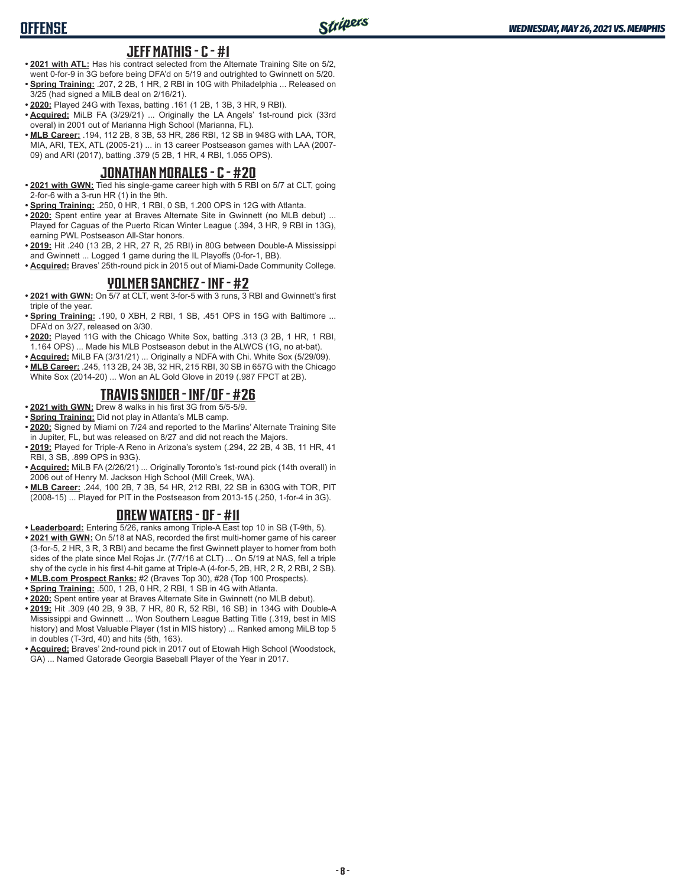### **JEFF MATHIS - C - #1**

- **• 2021 with ATL:** Has his contract selected from the Alternate Training Site on 5/2, went 0-for-9 in 3G before being DFA'd on 5/19 and outrighted to Gwinnett on 5/20.
- **• Spring Training:** .207, 2 2B, 1 HR, 2 RBI in 10G with Philadelphia ... Released on 3/25 (had signed a MiLB deal on 2/16/21).
- **• 2020:** Played 24G with Texas, batting .161 (1 2B, 1 3B, 3 HR, 9 RBI).
- **• Acquired:** MiLB FA (3/29/21) ... Originally the LA Angels' 1st-round pick (33rd overal) in 2001 out of Marianna High School (Marianna, FL).
- **• MLB Career:** .194, 112 2B, 8 3B, 53 HR, 286 RBI, 12 SB in 948G with LAA, TOR, MIA, ARI, TEX, ATL (2005-21) ... in 13 career Postseason games with LAA (2007- 09) and ARI (2017), batting .379 (5 2B, 1 HR, 4 RBI, 1.055 OPS).

## **JONATHAN MORALES - C - #20**

- **• 2021 with GWN:** Tied his single-game career high with 5 RBI on 5/7 at CLT, going 2-for-6 with a 3-run HR (1) in the 9th.
- **• Spring Training:** .250, 0 HR, 1 RBI, 0 SB, 1.200 OPS in 12G with Atlanta.
- **• 2020:** Spent entire year at Braves Alternate Site in Gwinnett (no MLB debut) ... Played for Caguas of the Puerto Rican Winter League (.394, 3 HR, 9 RBI in 13G), earning PWL Postseason All-Star honors.
- **• 2019:** Hit .240 (13 2B, 2 HR, 27 R, 25 RBI) in 80G between Double-A Mississippi and Gwinnett ... Logged 1 game during the IL Playoffs (0-for-1, BB).
- **• Acquired:** Braves' 25th-round pick in 2015 out of Miami-Dade Community College.

## **YOLMER SANCHEZ - INF - #2**

- **• 2021 with GWN:** On 5/7 at CLT, went 3-for-5 with 3 runs, 3 RBI and Gwinnett's first triple of the year.
- **• Spring Training:** .190, 0 XBH, 2 RBI, 1 SB, .451 OPS in 15G with Baltimore ... DFA'd on 3/27, released on 3/30.
- **• 2020:** Played 11G with the Chicago White Sox, batting .313 (3 2B, 1 HR, 1 RBI, 1.164 OPS) ... Made his MLB Postseason debut in the ALWCS (1G, no at-bat).
- **• Acquired:** MiLB FA (3/31/21) ... Originally a NDFA with Chi. White Sox (5/29/09).
- **• MLB Career:** .245, 113 2B, 24 3B, 32 HR, 215 RBI, 30 SB in 657G with the Chicago White Sox (2014-20) ... Won an AL Gold Glove in 2019 (.987 FPCT at 2B).

## **TRAVIS SNIDER - INF/OF - #26**

- **• 2021 with GWN:** Drew 8 walks in his first 3G from 5/5-5/9.
- **• Spring Training:** Did not play in Atlanta's MLB camp.
- **• 2020:** Signed by Miami on 7/24 and reported to the Marlins' Alternate Training Site in Jupiter, FL, but was released on 8/27 and did not reach the Majors.
- **• 2019:** Played for Triple-A Reno in Arizona's system (.294, 22 2B, 4 3B, 11 HR, 41 RBI, 3 SB, .899 OPS in 93G).
- **• Acquired:** MiLB FA (2/26/21) ... Originally Toronto's 1st-round pick (14th overall) in 2006 out of Henry M. Jackson High School (Mill Creek, WA).
- **• MLB Career:** .244, 100 2B, 7 3B, 54 HR, 212 RBI, 22 SB in 630G with TOR, PIT (2008-15) ... Played for PIT in the Postseason from 2013-15 (.250, 1-for-4 in 3G).

#### **DREW WATERS - OF - #11**

- **• Leaderboard:** Entering 5/26, ranks among Triple-A East top 10 in SB (T-9th, 5).
- **• 2021 with GWN:** On 5/18 at NAS, recorded the first multi-homer game of his career (3-for-5, 2 HR, 3 R, 3 RBI) and became the first Gwinnett player to homer from both sides of the plate since Mel Rojas Jr. (7/7/16 at CLT) ... On 5/19 at NAS, fell a triple shy of the cycle in his first 4-hit game at Triple-A (4-for-5, 2B, HR, 2 R, 2 RBI, 2 SB).
- **• MLB.com Prospect Ranks:** #2 (Braves Top 30), #28 (Top 100 Prospects).
- **• Spring Training:** .500, 1 2B, 0 HR, 2 RBI, 1 SB in 4G with Atlanta.
- **• 2020:** Spent entire year at Braves Alternate Site in Gwinnett (no MLB debut).
- **• 2019:** Hit .309 (40 2B, 9 3B, 7 HR, 80 R, 52 RBI, 16 SB) in 134G with Double-A Mississippi and Gwinnett ... Won Southern League Batting Title (.319, best in MIS history) and Most Valuable Player (1st in MIS history) ... Ranked among MiLB top 5 in doubles (T-3rd, 40) and hits (5th, 163).
- **• Acquired:** Braves' 2nd-round pick in 2017 out of Etowah High School (Woodstock, GA) ... Named Gatorade Georgia Baseball Player of the Year in 2017.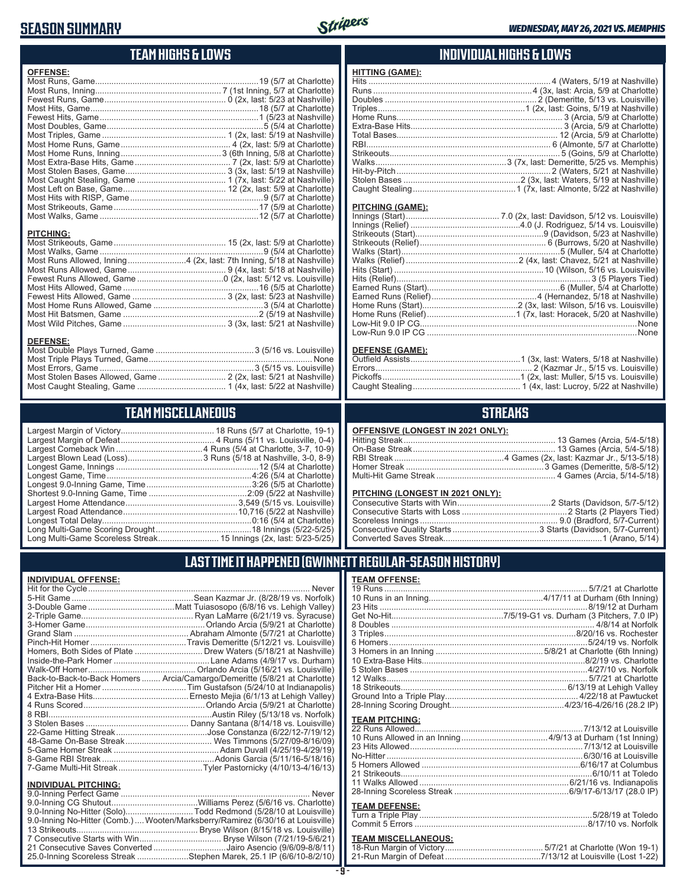## **SEASON SUMMARY**



## **TEAM HIGHS & LOWS**

| <b>OFFENSE:</b>                                                                          |  |
|------------------------------------------------------------------------------------------|--|
|                                                                                          |  |
|                                                                                          |  |
|                                                                                          |  |
|                                                                                          |  |
|                                                                                          |  |
|                                                                                          |  |
|                                                                                          |  |
|                                                                                          |  |
|                                                                                          |  |
|                                                                                          |  |
|                                                                                          |  |
|                                                                                          |  |
|                                                                                          |  |
|                                                                                          |  |
|                                                                                          |  |
|                                                                                          |  |
|                                                                                          |  |
| <b>PITCHING:</b><br>Most Runs Allowed, Inning4 (2x, last: 7th Inning, 5/18 at Nashville) |  |
|                                                                                          |  |
|                                                                                          |  |
|                                                                                          |  |

### **TEAM MISCELLANEOUS**

Most Stolen Bases Allowed, Game ............................. 2 (2x, last: 5/21 at Nashville) Most Caught Stealing, Game ...................................... 1 (4x, last: 5/22 at Nashville)

| Largest Blown Lead (Loss) 3 Runs (5/18 at Nashville, 3-0, 8-9) |  |
|----------------------------------------------------------------|--|
|                                                                |  |
|                                                                |  |
|                                                                |  |
|                                                                |  |
|                                                                |  |
|                                                                |  |
|                                                                |  |
|                                                                |  |
|                                                                |  |

### **INDIVIDUAL HIGHS & LOWS**

| <b>HITTING (GAME):</b> |  |
|------------------------|--|
|                        |  |
|                        |  |
|                        |  |
|                        |  |
|                        |  |
|                        |  |
|                        |  |
|                        |  |
|                        |  |
|                        |  |
|                        |  |
|                        |  |
|                        |  |

#### **PITCHING (GAME):**

| Low-Run 9.0 IP CG …………………………………………………………………………………None |
|-------------------------------------------------------|
|                                                       |

#### **DEFENSE (GAME):**

## **STREAKS**

| OFFENSIVE (LONGEST IN 2021 ONLY): |  |  |  |
|-----------------------------------|--|--|--|
|-----------------------------------|--|--|--|

#### **PITCHING (LONGEST IN 2021 ONLY):**

## **LAST TIME IT HAPPENED (GWINNETT REGULAR-SEASON HISTORY)**

#### **INDIVIDUAL OFFENSE:**

|                                | Homers, Both Sides of Plate  Drew Waters (5/18/21 at Nashville)            |
|--------------------------------|----------------------------------------------------------------------------|
|                                |                                                                            |
|                                |                                                                            |
|                                | Back-to-Back-to-Back Homers  Arcia/Camargo/Demeritte (5/8/21 at Charlotte) |
|                                |                                                                            |
|                                |                                                                            |
|                                |                                                                            |
|                                |                                                                            |
|                                |                                                                            |
|                                |                                                                            |
|                                |                                                                            |
|                                |                                                                            |
|                                |                                                                            |
|                                |                                                                            |
| <b>INDIVIDUAL PITCHING:</b>    |                                                                            |
| <b>9 O-Inning Perfect Game</b> | Never                                                                      |

| 9.0-Inning No-Hitter (Comb.)  Wooten/Marksberry/Ramirez (6/30/16 at Louisville) |
|---------------------------------------------------------------------------------|
|                                                                                 |
|                                                                                 |
| 21 Consecutive Saves Converted Jairo Asencio (9/6/09-8/8/11)                    |
| 25.0-Inning Scoreless Streak Stephen Marek, 25.1 IP (6/6/10-8/2/10)             |

#### **TEAM OFFENSE:**

| <b>TEAM PITCHING:</b>        |  |
|------------------------------|--|
|                              |  |
|                              |  |
|                              |  |
|                              |  |
|                              |  |
|                              |  |
|                              |  |
|                              |  |
|                              |  |
|                              |  |
| <b>TEAM DEFENSE:</b>         |  |
|                              |  |
|                              |  |
| <b>TEAM MISCELL ANEOLIS:</b> |  |

#### **TEAM MISCELLANEOUS:** 18-Run Margin of Victory .......................................... 5/7/21 at Charlotte (Won 19-1) 21-Run Margin of Defeat .........................................7/13/12 at Louisville (Lost 1-22)